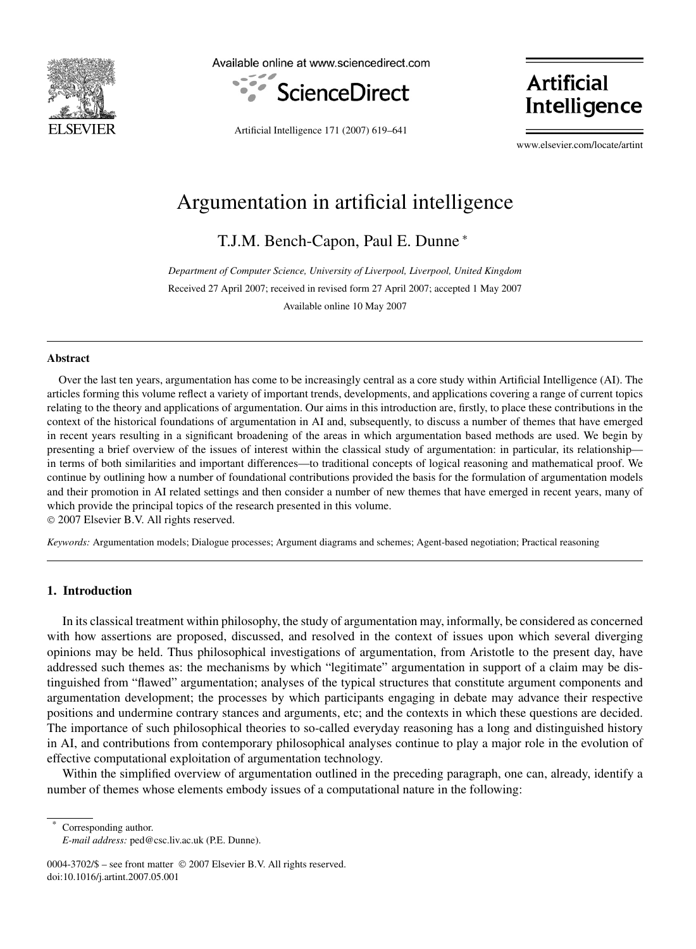

Available online at www.sciencedirect.com



Artificial Intelligence 171 (2007) 619–641

**Artificial** Intelligence

www.elsevier.com/locate/artint

# Argumentation in artificial intelligence

T.J.M. Bench-Capon, Paul E. Dunne <sup>∗</sup>

*Department of Computer Science, University of Liverpool, Liverpool, United Kingdom* Received 27 April 2007; received in revised form 27 April 2007; accepted 1 May 2007 Available online 10 May 2007

#### **Abstract**

Over the last ten years, argumentation has come to be increasingly central as a core study within Artificial Intelligence (AI). The articles forming this volume reflect a variety of important trends, developments, and applications covering a range of current topics relating to the theory and applications of argumentation. Our aims in this introduction are, firstly, to place these contributions in the context of the historical foundations of argumentation in AI and, subsequently, to discuss a number of themes that have emerged in recent years resulting in a significant broadening of the areas in which argumentation based methods are used. We begin by presenting a brief overview of the issues of interest within the classical study of argumentation: in particular, its relationship in terms of both similarities and important differences—to traditional concepts of logical reasoning and mathematical proof. We continue by outlining how a number of foundational contributions provided the basis for the formulation of argumentation models and their promotion in AI related settings and then consider a number of new themes that have emerged in recent years, many of which provide the principal topics of the research presented in this volume.

© 2007 Elsevier B.V. All rights reserved.

*Keywords:* Argumentation models; Dialogue processes; Argument diagrams and schemes; Agent-based negotiation; Practical reasoning

# **1. Introduction**

In its classical treatment within philosophy, the study of argumentation may, informally, be considered as concerned with how assertions are proposed, discussed, and resolved in the context of issues upon which several diverging opinions may be held. Thus philosophical investigations of argumentation, from Aristotle to the present day, have addressed such themes as: the mechanisms by which "legitimate" argumentation in support of a claim may be distinguished from "flawed" argumentation; analyses of the typical structures that constitute argument components and argumentation development; the processes by which participants engaging in debate may advance their respective positions and undermine contrary stances and arguments, etc; and the contexts in which these questions are decided. The importance of such philosophical theories to so-called everyday reasoning has a long and distinguished history in AI, and contributions from contemporary philosophical analyses continue to play a major role in the evolution of effective computational exploitation of argumentation technology.

Within the simplified overview of argumentation outlined in the preceding paragraph, one can, already, identify a number of themes whose elements embody issues of a computational nature in the following:

Corresponding author.

*E-mail address:* ped@csc.liv.ac.uk (P.E. Dunne).

<sup>0004-3702/\$ –</sup> see front matter © 2007 Elsevier B.V. All rights reserved. doi:10.1016/j.artint.2007.05.001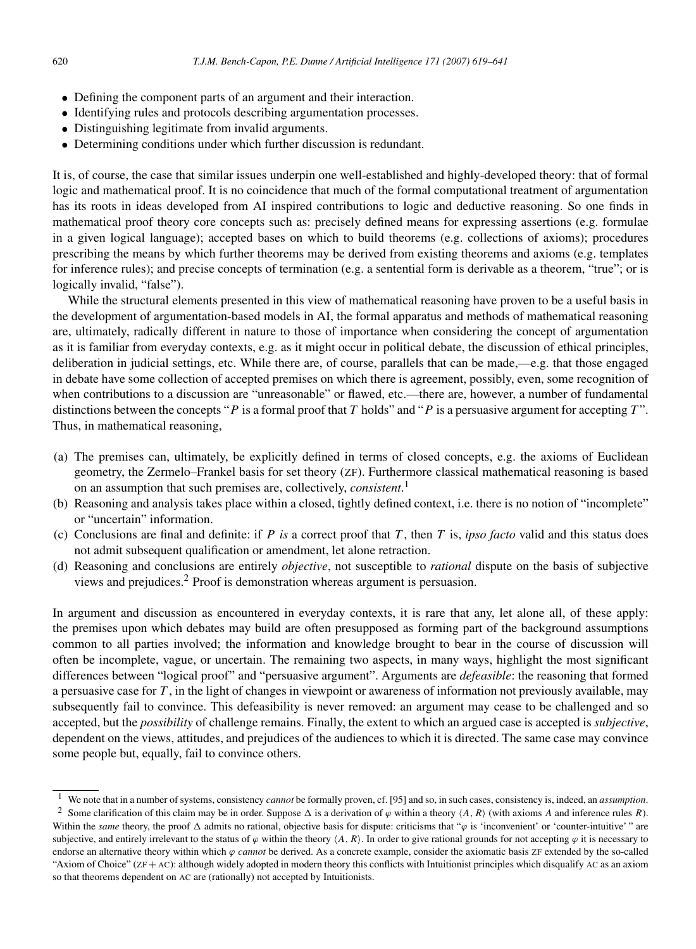- Defining the component parts of an argument and their interaction.
- Identifying rules and protocols describing argumentation processes.
- Distinguishing legitimate from invalid arguments.
- Determining conditions under which further discussion is redundant.

It is, of course, the case that similar issues underpin one well-established and highly-developed theory: that of formal logic and mathematical proof. It is no coincidence that much of the formal computational treatment of argumentation has its roots in ideas developed from AI inspired contributions to logic and deductive reasoning. So one finds in mathematical proof theory core concepts such as: precisely defined means for expressing assertions (e.g. formulae in a given logical language); accepted bases on which to build theorems (e.g. collections of axioms); procedures prescribing the means by which further theorems may be derived from existing theorems and axioms (e.g. templates for inference rules); and precise concepts of termination (e.g. a sentential form is derivable as a theorem, "true"; or is logically invalid, "false").

While the structural elements presented in this view of mathematical reasoning have proven to be a useful basis in the development of argumentation-based models in AI, the formal apparatus and methods of mathematical reasoning are, ultimately, radically different in nature to those of importance when considering the concept of argumentation as it is familiar from everyday contexts, e.g. as it might occur in political debate, the discussion of ethical principles, deliberation in judicial settings, etc. While there are, of course, parallels that can be made,—e.g. that those engaged in debate have some collection of accepted premises on which there is agreement, possibly, even, some recognition of when contributions to a discussion are "unreasonable" or flawed, etc.—there are, however, a number of fundamental distinctions between the concepts "*P* is a formal proof that *T* holds" and "*P* is a persuasive argument for accepting *T* ". Thus, in mathematical reasoning,

- (a) The premises can, ultimately, be explicitly defined in terms of closed concepts, e.g. the axioms of Euclidean geometry, the Zermelo–Frankel basis for set theory (ZF). Furthermore classical mathematical reasoning is based on an assumption that such premises are, collectively, *consistent*. 1
- (b) Reasoning and analysis takes place within a closed, tightly defined context, i.e. there is no notion of "incomplete" or "uncertain" information.
- (c) Conclusions are final and definite: if  $P$  *is* a correct proof that  $T$ , then  $T$  is, *ipso facto* valid and this status does not admit subsequent qualification or amendment, let alone retraction.
- (d) Reasoning and conclusions are entirely *objective*, not susceptible to *rational* dispute on the basis of subjective views and prejudices.2 Proof is demonstration whereas argument is persuasion.

In argument and discussion as encountered in everyday contexts, it is rare that any, let alone all, of these apply: the premises upon which debates may build are often presupposed as forming part of the background assumptions common to all parties involved; the information and knowledge brought to bear in the course of discussion will often be incomplete, vague, or uncertain. The remaining two aspects, in many ways, highlight the most significant differences between "logical proof" and "persuasive argument". Arguments are *defeasible*: the reasoning that formed a persuasive case for *T* , in the light of changes in viewpoint or awareness of information not previously available, may subsequently fail to convince. This defeasibility is never removed: an argument may cease to be challenged and so accepted, but the *possibility* of challenge remains. Finally, the extent to which an argued case is accepted is *subjective*, dependent on the views, attitudes, and prejudices of the audiences to which it is directed. The same case may convince some people but, equally, fail to convince others.

<sup>1</sup> We note that in a number of systems, consistency *cannot* be formally proven, cf. [95] and so, in such cases, consistency is, indeed, an *assumption*.

<sup>&</sup>lt;sup>2</sup> Some clarification of this claim may be in order. Suppose  $\Delta$  is a derivation of  $\varphi$  within a theory  $\langle A, R \rangle$  (with axioms *A* and inference rules *R*). Within the *same* theory, the proof  $\Delta$  admits no rational, objective basis for dispute: criticisms that " $\varphi$  is 'inconvenient' or 'counter-intuitive' " are subjective, and entirely irrelevant to the status of  $\varphi$  within the theory  $\langle A, R \rangle$ . In order to give rational grounds for not accepting  $\varphi$  it is necessary to endorse an alternative theory within which *ϕ cannot* be derived. As a concrete example, consider the axiomatic basis ZF extended by the so-called "Axiom of Choice" (ZF + AC): although widely adopted in modern theory this conflicts with Intuitionist principles which disqualify AC as an axiom so that theorems dependent on AC are (rationally) not accepted by Intuitionists.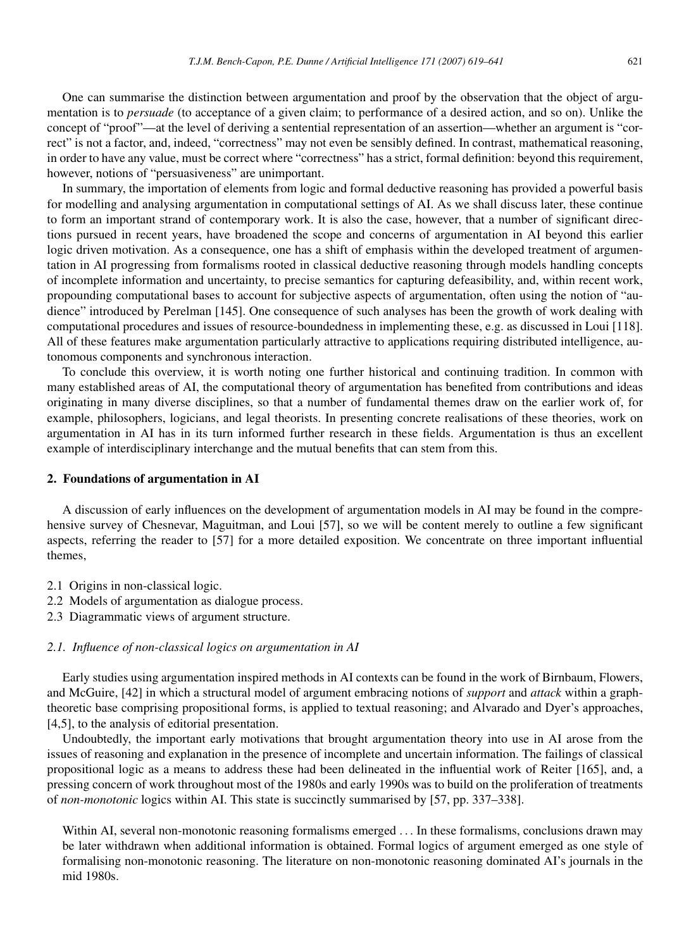One can summarise the distinction between argumentation and proof by the observation that the object of argumentation is to *persuade* (to acceptance of a given claim; to performance of a desired action, and so on). Unlike the concept of "proof"—at the level of deriving a sentential representation of an assertion—whether an argument is "correct" is not a factor, and, indeed, "correctness" may not even be sensibly defined. In contrast, mathematical reasoning, in order to have any value, must be correct where "correctness" has a strict, formal definition: beyond this requirement, however, notions of "persuasiveness" are unimportant.

In summary, the importation of elements from logic and formal deductive reasoning has provided a powerful basis for modelling and analysing argumentation in computational settings of AI. As we shall discuss later, these continue to form an important strand of contemporary work. It is also the case, however, that a number of significant directions pursued in recent years, have broadened the scope and concerns of argumentation in AI beyond this earlier logic driven motivation. As a consequence, one has a shift of emphasis within the developed treatment of argumentation in AI progressing from formalisms rooted in classical deductive reasoning through models handling concepts of incomplete information and uncertainty, to precise semantics for capturing defeasibility, and, within recent work, propounding computational bases to account for subjective aspects of argumentation, often using the notion of "audience" introduced by Perelman [145]. One consequence of such analyses has been the growth of work dealing with computational procedures and issues of resource-boundedness in implementing these, e.g. as discussed in Loui [118]. All of these features make argumentation particularly attractive to applications requiring distributed intelligence, autonomous components and synchronous interaction.

To conclude this overview, it is worth noting one further historical and continuing tradition. In common with many established areas of AI, the computational theory of argumentation has benefited from contributions and ideas originating in many diverse disciplines, so that a number of fundamental themes draw on the earlier work of, for example, philosophers, logicians, and legal theorists. In presenting concrete realisations of these theories, work on argumentation in AI has in its turn informed further research in these fields. Argumentation is thus an excellent example of interdisciplinary interchange and the mutual benefits that can stem from this.

#### **2. Foundations of argumentation in AI**

A discussion of early influences on the development of argumentation models in AI may be found in the comprehensive survey of Chesnevar, Maguitman, and Loui [57], so we will be content merely to outline a few significant aspects, referring the reader to [57] for a more detailed exposition. We concentrate on three important influential themes,

- 2.1 Origins in non-classical logic.
- 2.2 Models of argumentation as dialogue process.
- 2.3 Diagrammatic views of argument structure.

#### *2.1. Influence of non-classical logics on argumentation in AI*

Early studies using argumentation inspired methods in AI contexts can be found in the work of Birnbaum, Flowers, and McGuire, [42] in which a structural model of argument embracing notions of *support* and *attack* within a graphtheoretic base comprising propositional forms, is applied to textual reasoning; and Alvarado and Dyer's approaches, [4,5], to the analysis of editorial presentation.

Undoubtedly, the important early motivations that brought argumentation theory into use in AI arose from the issues of reasoning and explanation in the presence of incomplete and uncertain information. The failings of classical propositional logic as a means to address these had been delineated in the influential work of Reiter [165], and, a pressing concern of work throughout most of the 1980s and early 1990s was to build on the proliferation of treatments of *non-monotonic* logics within AI. This state is succinctly summarised by [57, pp. 337–338].

Within AI, several non-monotonic reasoning formalisms emerged *...* In these formalisms, conclusions drawn may be later withdrawn when additional information is obtained. Formal logics of argument emerged as one style of formalising non-monotonic reasoning. The literature on non-monotonic reasoning dominated AI's journals in the mid 1980s.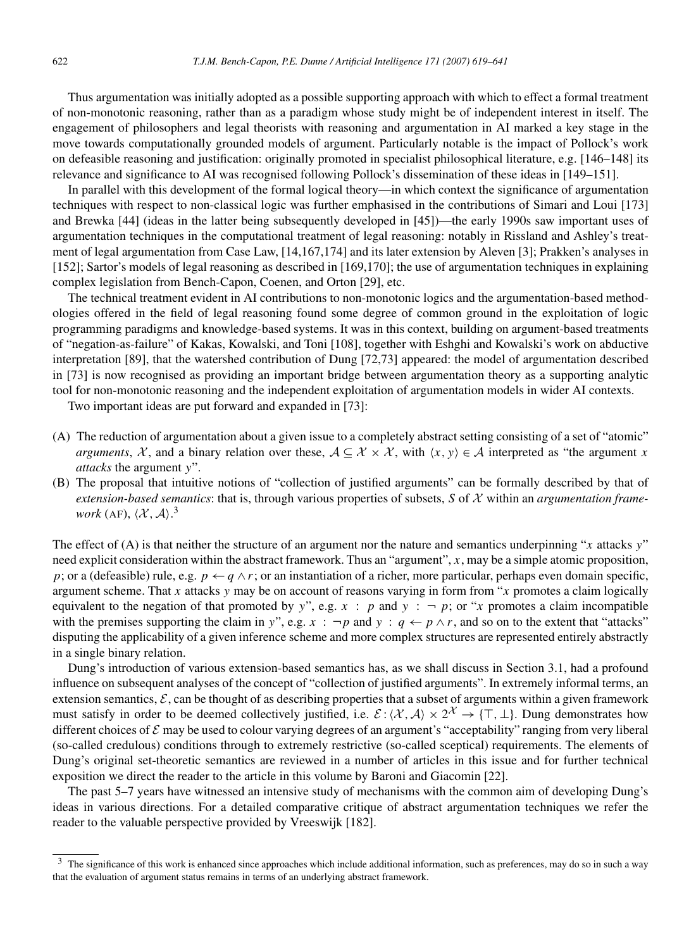Thus argumentation was initially adopted as a possible supporting approach with which to effect a formal treatment of non-monotonic reasoning, rather than as a paradigm whose study might be of independent interest in itself. The engagement of philosophers and legal theorists with reasoning and argumentation in AI marked a key stage in the move towards computationally grounded models of argument. Particularly notable is the impact of Pollock's work on defeasible reasoning and justification: originally promoted in specialist philosophical literature, e.g. [146–148] its relevance and significance to AI was recognised following Pollock's dissemination of these ideas in [149–151].

In parallel with this development of the formal logical theory—in which context the significance of argumentation techniques with respect to non-classical logic was further emphasised in the contributions of Simari and Loui [173] and Brewka [44] (ideas in the latter being subsequently developed in [45])—the early 1990s saw important uses of argumentation techniques in the computational treatment of legal reasoning: notably in Rissland and Ashley's treatment of legal argumentation from Case Law, [14,167,174] and its later extension by Aleven [3]; Prakken's analyses in [152]; Sartor's models of legal reasoning as described in [169,170]; the use of argumentation techniques in explaining complex legislation from Bench-Capon, Coenen, and Orton [29], etc.

The technical treatment evident in AI contributions to non-monotonic logics and the argumentation-based methodologies offered in the field of legal reasoning found some degree of common ground in the exploitation of logic programming paradigms and knowledge-based systems. It was in this context, building on argument-based treatments of "negation-as-failure" of Kakas, Kowalski, and Toni [108], together with Eshghi and Kowalski's work on abductive interpretation [89], that the watershed contribution of Dung [72,73] appeared: the model of argumentation described in [73] is now recognised as providing an important bridge between argumentation theory as a supporting analytic tool for non-monotonic reasoning and the independent exploitation of argumentation models in wider AI contexts.

Two important ideas are put forward and expanded in [73]:

- (A) The reduction of argumentation about a given issue to a completely abstract setting consisting of a set of "atomic" *arguments*, X, and a binary relation over these,  $A \subseteq X \times X$ , with  $\langle x, y \rangle \in A$  interpreted as "the argument x *attacks* the argument *y*".
- (B) The proposal that intuitive notions of "collection of justified arguments" can be formally described by that of *extension-based semantics*: that is, through various properties of subsets, *S* of X within an *argumentation framework* (AF),  $\langle X, \mathcal{A} \rangle$ .<sup>3</sup>

The effect of (A) is that neither the structure of an argument nor the nature and semantics underpinning "*x* attacks *y*" need explicit consideration within the abstract framework. Thus an "argument", *x*, may be a simple atomic proposition, *p*; or a (defeasible) rule, e.g.  $p \leftarrow q \land r$ ; or an instantiation of a richer, more particular, perhaps even domain specific, argument scheme. That *x* attacks *y* may be on account of reasons varying in form from "*x* promotes a claim logically equivalent to the negation of that promoted by *y*", e.g.  $x : p$  and  $y : \neg p$ ; or "*x* promotes a claim incompatible with the premises supporting the claim in *y*", e.g.  $x : \neg p$  and  $y : q \leftarrow p \land r$ , and so on to the extent that "attacks" disputing the applicability of a given inference scheme and more complex structures are represented entirely abstractly in a single binary relation.

Dung's introduction of various extension-based semantics has, as we shall discuss in Section 3.1, had a profound influence on subsequent analyses of the concept of "collection of justified arguments". In extremely informal terms, an extension semantics,  $\mathcal{E}$ , can be thought of as describing properties that a subset of arguments within a given framework must satisfy in order to be deemed collectively justified, i.e.  $\mathcal{E}$  :  $\langle \mathcal{X}, \mathcal{A} \rangle \times 2^{\mathcal{X}} \to {\top, \bot}$ . Dung demonstrates how different choices of  $\mathcal E$  may be used to colour varying degrees of an argument's "acceptability" ranging from very liberal (so-called credulous) conditions through to extremely restrictive (so-called sceptical) requirements. The elements of Dung's original set-theoretic semantics are reviewed in a number of articles in this issue and for further technical exposition we direct the reader to the article in this volume by Baroni and Giacomin [22].

The past 5–7 years have witnessed an intensive study of mechanisms with the common aim of developing Dung's ideas in various directions. For a detailed comparative critique of abstract argumentation techniques we refer the reader to the valuable perspective provided by Vreeswijk [182].

 $3$  The significance of this work is enhanced since approaches which include additional information, such as preferences, may do so in such a way that the evaluation of argument status remains in terms of an underlying abstract framework.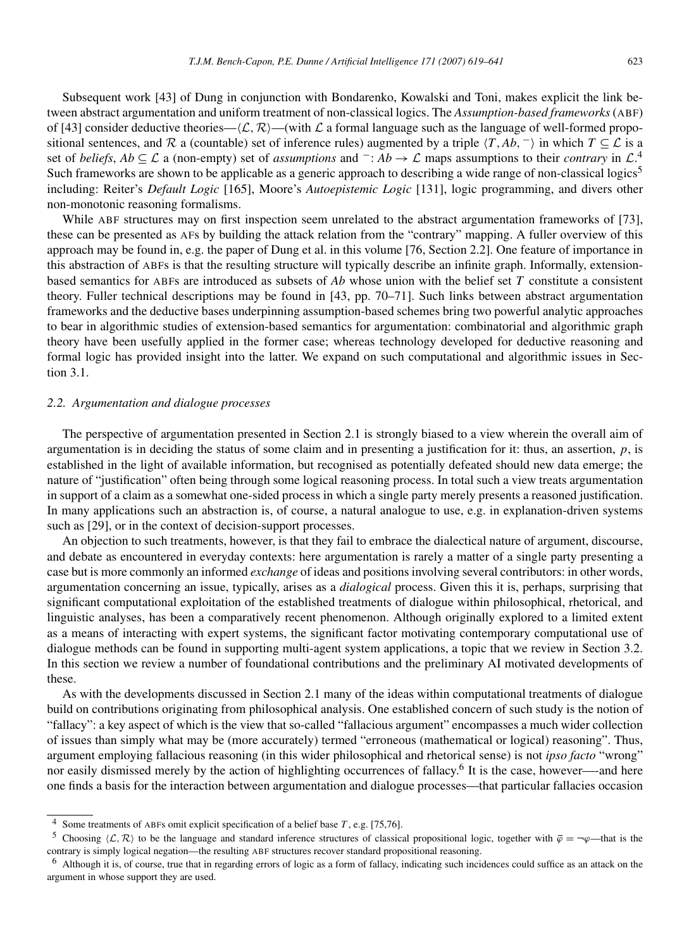Subsequent work [43] of Dung in conjunction with Bondarenko, Kowalski and Toni, makes explicit the link between abstract argumentation and uniform treatment of non-classical logics. The *Assumption-based frameworks* (ABF) of [43] consider deductive theories— $\langle \mathcal{L}, \mathcal{R} \rangle$ —(with  $\mathcal{L}$  a formal language such as the language of well-formed propositional sentences, and  $\mathcal{R}$  a (countable) set of inference rules) augmented by a triple  $\langle T, Ab, \neg \rangle$  in which  $T \subseteq \mathcal{L}$  is a set of *beliefs*,  $Ab \subseteq \mathcal{L}$  a (non-empty) set of *assumptions* and  $\overline{\phantom{a}}: Ab \to \mathcal{L}$  maps assumptions to their *contrary* in  $\mathcal{L}^A$ . Such frameworks are shown to be applicable as a generic approach to describing a wide range of non-classical logics<sup>5</sup> including: Reiter's *Default Logic* [165], Moore's *Autoepistemic Logic* [131], logic programming, and divers other non-monotonic reasoning formalisms.

While ABF structures may on first inspection seem unrelated to the abstract argumentation frameworks of [73], these can be presented as AFs by building the attack relation from the "contrary" mapping. A fuller overview of this approach may be found in, e.g. the paper of Dung et al. in this volume [76, Section 2.2]. One feature of importance in this abstraction of ABFs is that the resulting structure will typically describe an infinite graph. Informally, extensionbased semantics for ABFs are introduced as subsets of *Ab* whose union with the belief set *T* constitute a consistent theory. Fuller technical descriptions may be found in [43, pp. 70–71]. Such links between abstract argumentation frameworks and the deductive bases underpinning assumption-based schemes bring two powerful analytic approaches to bear in algorithmic studies of extension-based semantics for argumentation: combinatorial and algorithmic graph theory have been usefully applied in the former case; whereas technology developed for deductive reasoning and formal logic has provided insight into the latter. We expand on such computational and algorithmic issues in Section 3.1.

#### *2.2. Argumentation and dialogue processes*

The perspective of argumentation presented in Section 2.1 is strongly biased to a view wherein the overall aim of argumentation is in deciding the status of some claim and in presenting a justification for it: thus, an assertion, *p*, is established in the light of available information, but recognised as potentially defeated should new data emerge; the nature of "justification" often being through some logical reasoning process. In total such a view treats argumentation in support of a claim as a somewhat one-sided process in which a single party merely presents a reasoned justification. In many applications such an abstraction is, of course, a natural analogue to use, e.g. in explanation-driven systems such as [29], or in the context of decision-support processes.

An objection to such treatments, however, is that they fail to embrace the dialectical nature of argument, discourse, and debate as encountered in everyday contexts: here argumentation is rarely a matter of a single party presenting a case but is more commonly an informed *exchange* of ideas and positions involving several contributors: in other words, argumentation concerning an issue, typically, arises as a *dialogical* process. Given this it is, perhaps, surprising that significant computational exploitation of the established treatments of dialogue within philosophical, rhetorical, and linguistic analyses, has been a comparatively recent phenomenon. Although originally explored to a limited extent as a means of interacting with expert systems, the significant factor motivating contemporary computational use of dialogue methods can be found in supporting multi-agent system applications, a topic that we review in Section 3.2. In this section we review a number of foundational contributions and the preliminary AI motivated developments of these.

As with the developments discussed in Section 2.1 many of the ideas within computational treatments of dialogue build on contributions originating from philosophical analysis. One established concern of such study is the notion of "fallacy": a key aspect of which is the view that so-called "fallacious argument" encompasses a much wider collection of issues than simply what may be (more accurately) termed "erroneous (mathematical or logical) reasoning". Thus, argument employing fallacious reasoning (in this wider philosophical and rhetorical sense) is not *ipso facto* "wrong" nor easily dismissed merely by the action of highlighting occurrences of fallacy.<sup>6</sup> It is the case, however—-and here one finds a basis for the interaction between argumentation and dialogue processes—that particular fallacies occasion

<sup>4</sup> Some treatments of ABFs omit explicit specification of a belief base *T* , e.g. [75,76].

<sup>&</sup>lt;sup>5</sup> Choosing  $\langle \mathcal{L}, \mathcal{R} \rangle$  to be the language and standard inference structures of classical propositional logic, together with  $\bar{\varphi} = \neg \varphi$ —that is the contrary is simply logical negation—the resulting ABF structures recover standard propositional reasoning.

<sup>6</sup> Although it is, of course, true that in regarding errors of logic as a form of fallacy, indicating such incidences could suffice as an attack on the argument in whose support they are used.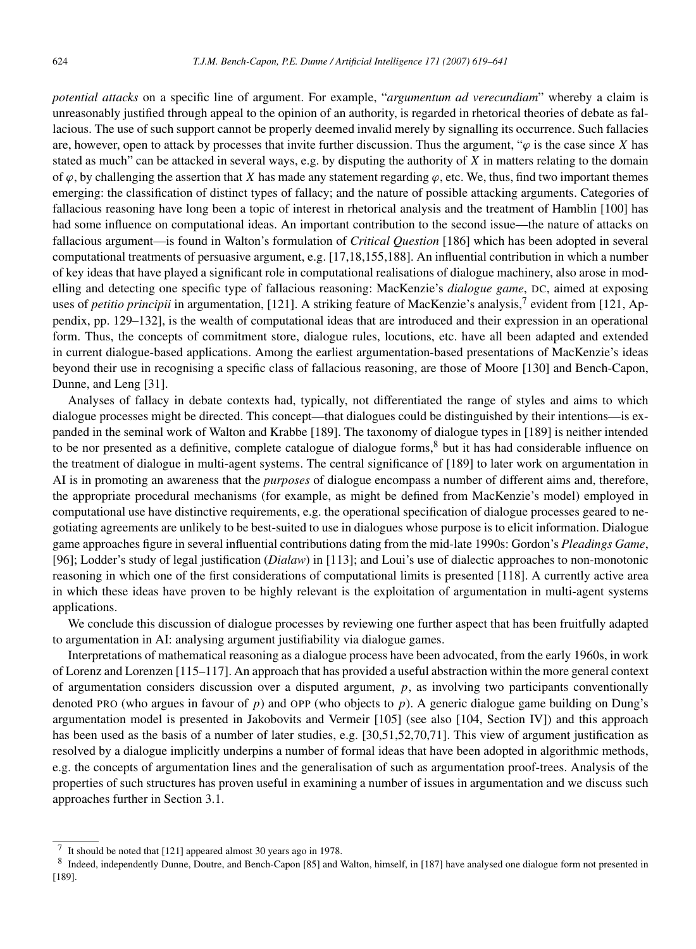*potential attacks* on a specific line of argument. For example, "*argumentum ad verecundiam*" whereby a claim is unreasonably justified through appeal to the opinion of an authority, is regarded in rhetorical theories of debate as fallacious. The use of such support cannot be properly deemed invalid merely by signalling its occurrence. Such fallacies are, however, open to attack by processes that invite further discussion. Thus the argument, "*ϕ* is the case since *X* has stated as much" can be attacked in several ways, e.g. by disputing the authority of *X* in matters relating to the domain of *ϕ*, by challenging the assertion that *X* has made any statement regarding *ϕ*, etc. We, thus, find two important themes emerging: the classification of distinct types of fallacy; and the nature of possible attacking arguments. Categories of fallacious reasoning have long been a topic of interest in rhetorical analysis and the treatment of Hamblin [100] has had some influence on computational ideas. An important contribution to the second issue—the nature of attacks on fallacious argument—is found in Walton's formulation of *Critical Question* [186] which has been adopted in several computational treatments of persuasive argument, e.g. [17,18,155,188]. An influential contribution in which a number of key ideas that have played a significant role in computational realisations of dialogue machinery, also arose in modelling and detecting one specific type of fallacious reasoning: MacKenzie's *dialogue game*, DC, aimed at exposing uses of *petitio principii* in argumentation, [121]. A striking feature of MacKenzie's analysis,<sup>7</sup> evident from [121, Appendix, pp. 129–132], is the wealth of computational ideas that are introduced and their expression in an operational form. Thus, the concepts of commitment store, dialogue rules, locutions, etc. have all been adapted and extended in current dialogue-based applications. Among the earliest argumentation-based presentations of MacKenzie's ideas beyond their use in recognising a specific class of fallacious reasoning, are those of Moore [130] and Bench-Capon, Dunne, and Leng [31].

Analyses of fallacy in debate contexts had, typically, not differentiated the range of styles and aims to which dialogue processes might be directed. This concept—that dialogues could be distinguished by their intentions—is expanded in the seminal work of Walton and Krabbe [189]. The taxonomy of dialogue types in [189] is neither intended to be nor presented as a definitive, complete catalogue of dialogue forms, $8$  but it has had considerable influence on the treatment of dialogue in multi-agent systems. The central significance of [189] to later work on argumentation in AI is in promoting an awareness that the *purposes* of dialogue encompass a number of different aims and, therefore, the appropriate procedural mechanisms (for example, as might be defined from MacKenzie's model) employed in computational use have distinctive requirements, e.g. the operational specification of dialogue processes geared to negotiating agreements are unlikely to be best-suited to use in dialogues whose purpose is to elicit information. Dialogue game approaches figure in several influential contributions dating from the mid-late 1990s: Gordon's *Pleadings Game*, [96]; Lodder's study of legal justification (*Dialaw*) in [113]; and Loui's use of dialectic approaches to non-monotonic reasoning in which one of the first considerations of computational limits is presented [118]. A currently active area in which these ideas have proven to be highly relevant is the exploitation of argumentation in multi-agent systems applications.

We conclude this discussion of dialogue processes by reviewing one further aspect that has been fruitfully adapted to argumentation in AI: analysing argument justifiability via dialogue games.

Interpretations of mathematical reasoning as a dialogue process have been advocated, from the early 1960s, in work of Lorenz and Lorenzen [115–117]. An approach that has provided a useful abstraction within the more general context of argumentation considers discussion over a disputed argument, *p*, as involving two participants conventionally denoted PRO (who argues in favour of  $p$ ) and OPP (who objects to  $p$ ). A generic dialogue game building on Dung's argumentation model is presented in Jakobovits and Vermeir [105] (see also [104, Section IV]) and this approach has been used as the basis of a number of later studies, e.g. [30,51,52,70,71]. This view of argument justification as resolved by a dialogue implicitly underpins a number of formal ideas that have been adopted in algorithmic methods, e.g. the concepts of argumentation lines and the generalisation of such as argumentation proof-trees. Analysis of the properties of such structures has proven useful in examining a number of issues in argumentation and we discuss such approaches further in Section 3.1.

<sup>7</sup> It should be noted that [121] appeared almost 30 years ago in 1978.

<sup>&</sup>lt;sup>8</sup> Indeed, independently Dunne, Doutre, and Bench-Capon [85] and Walton, himself, in [187] have analysed one dialogue form not presented in [189].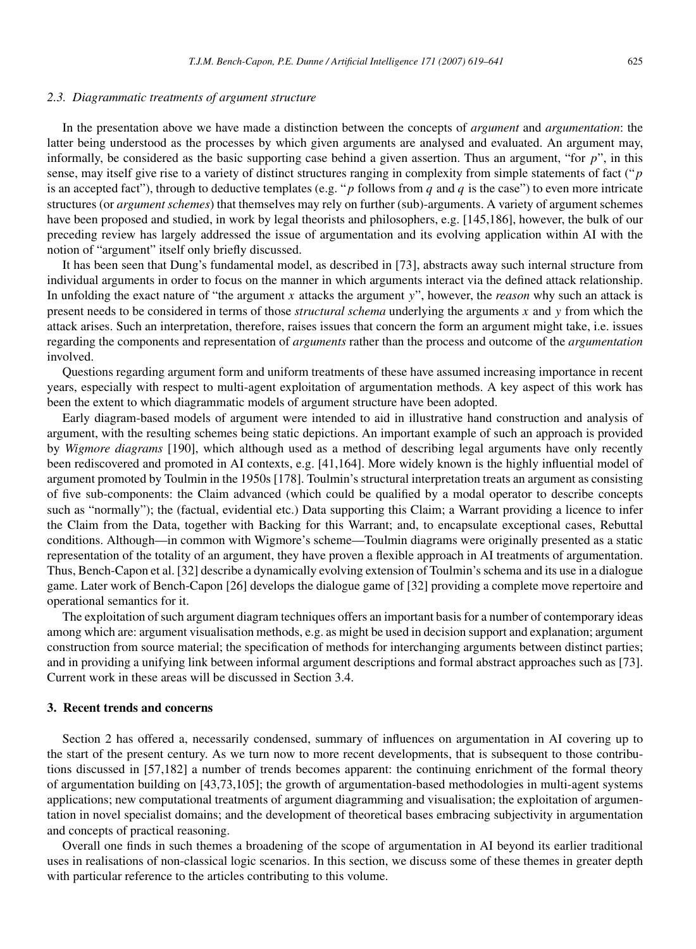#### *2.3. Diagrammatic treatments of argument structure*

In the presentation above we have made a distinction between the concepts of *argument* and *argumentation*: the latter being understood as the processes by which given arguments are analysed and evaluated. An argument may, informally, be considered as the basic supporting case behind a given assertion. Thus an argument, "for *p*", in this sense, may itself give rise to a variety of distinct structures ranging in complexity from simple statements of fact ("*p* is an accepted fact"), through to deductive templates (e.g. " $p$  follows from  $q$  and  $q$  is the case") to even more intricate structures (or *argument schemes*) that themselves may rely on further (sub)-arguments. A variety of argument schemes have been proposed and studied, in work by legal theorists and philosophers, e.g. [145,186], however, the bulk of our preceding review has largely addressed the issue of argumentation and its evolving application within AI with the notion of "argument" itself only briefly discussed.

It has been seen that Dung's fundamental model, as described in [73], abstracts away such internal structure from individual arguments in order to focus on the manner in which arguments interact via the defined attack relationship. In unfolding the exact nature of "the argument *x* attacks the argument *y*", however, the *reason* why such an attack is present needs to be considered in terms of those *structural schema* underlying the arguments *x* and *y* from which the attack arises. Such an interpretation, therefore, raises issues that concern the form an argument might take, i.e. issues regarding the components and representation of *arguments* rather than the process and outcome of the *argumentation* involved.

Questions regarding argument form and uniform treatments of these have assumed increasing importance in recent years, especially with respect to multi-agent exploitation of argumentation methods. A key aspect of this work has been the extent to which diagrammatic models of argument structure have been adopted.

Early diagram-based models of argument were intended to aid in illustrative hand construction and analysis of argument, with the resulting schemes being static depictions. An important example of such an approach is provided by *Wigmore diagrams* [190], which although used as a method of describing legal arguments have only recently been rediscovered and promoted in AI contexts, e.g. [41,164]. More widely known is the highly influential model of argument promoted by Toulmin in the 1950s [178]. Toulmin's structural interpretation treats an argument as consisting of five sub-components: the Claim advanced (which could be qualified by a modal operator to describe concepts such as "normally"); the (factual, evidential etc.) Data supporting this Claim; a Warrant providing a licence to infer the Claim from the Data, together with Backing for this Warrant; and, to encapsulate exceptional cases, Rebuttal conditions. Although—in common with Wigmore's scheme—Toulmin diagrams were originally presented as a static representation of the totality of an argument, they have proven a flexible approach in AI treatments of argumentation. Thus, Bench-Capon et al. [32] describe a dynamically evolving extension of Toulmin's schema and its use in a dialogue game. Later work of Bench-Capon [26] develops the dialogue game of [32] providing a complete move repertoire and operational semantics for it.

The exploitation of such argument diagram techniques offers an important basis for a number of contemporary ideas among which are: argument visualisation methods, e.g. as might be used in decision support and explanation; argument construction from source material; the specification of methods for interchanging arguments between distinct parties; and in providing a unifying link between informal argument descriptions and formal abstract approaches such as [73]. Current work in these areas will be discussed in Section 3.4.

## **3. Recent trends and concerns**

Section 2 has offered a, necessarily condensed, summary of influences on argumentation in AI covering up to the start of the present century. As we turn now to more recent developments, that is subsequent to those contributions discussed in [57,182] a number of trends becomes apparent: the continuing enrichment of the formal theory of argumentation building on [43,73,105]; the growth of argumentation-based methodologies in multi-agent systems applications; new computational treatments of argument diagramming and visualisation; the exploitation of argumentation in novel specialist domains; and the development of theoretical bases embracing subjectivity in argumentation and concepts of practical reasoning.

Overall one finds in such themes a broadening of the scope of argumentation in AI beyond its earlier traditional uses in realisations of non-classical logic scenarios. In this section, we discuss some of these themes in greater depth with particular reference to the articles contributing to this volume.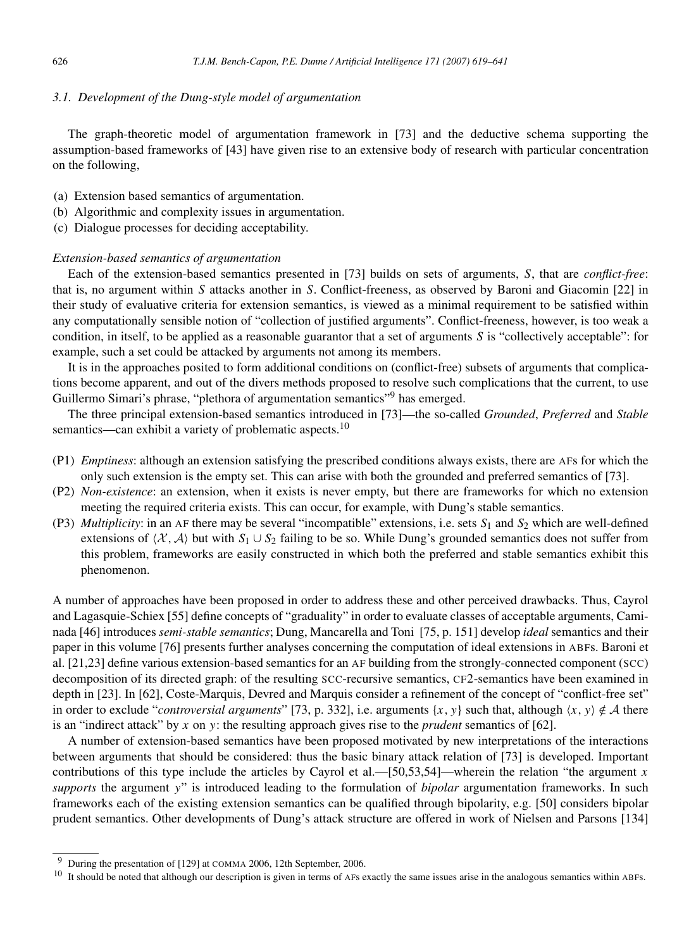#### *3.1. Development of the Dung-style model of argumentation*

The graph-theoretic model of argumentation framework in [73] and the deductive schema supporting the assumption-based frameworks of [43] have given rise to an extensive body of research with particular concentration on the following,

- (a) Extension based semantics of argumentation.
- (b) Algorithmic and complexity issues in argumentation.
- (c) Dialogue processes for deciding acceptability.

#### *Extension-based semantics of argumentation*

Each of the extension-based semantics presented in [73] builds on sets of arguments, *S*, that are *conflict-free*: that is, no argument within *S* attacks another in *S*. Conflict-freeness, as observed by Baroni and Giacomin [22] in their study of evaluative criteria for extension semantics, is viewed as a minimal requirement to be satisfied within any computationally sensible notion of "collection of justified arguments". Conflict-freeness, however, is too weak a condition, in itself, to be applied as a reasonable guarantor that a set of arguments *S* is "collectively acceptable": for example, such a set could be attacked by arguments not among its members.

It is in the approaches posited to form additional conditions on (conflict-free) subsets of arguments that complications become apparent, and out of the divers methods proposed to resolve such complications that the current, to use Guillermo Simari's phrase, "plethora of argumentation semantics"<sup>9</sup> has emerged.

The three principal extension-based semantics introduced in [73]—the so-called *Grounded*, *Preferred* and *Stable* semantics—can exhibit a variety of problematic aspects.<sup>10</sup>

- (P1) *Emptiness*: although an extension satisfying the prescribed conditions always exists, there are AFs for which the only such extension is the empty set. This can arise with both the grounded and preferred semantics of [73].
- (P2) *Non-existence*: an extension, when it exists is never empty, but there are frameworks for which no extension meeting the required criteria exists. This can occur, for example, with Dung's stable semantics.
- (P3) *Multiplicity*: in an AF there may be several "incompatible" extensions, i.e. sets  $S_1$  and  $S_2$  which are well-defined extensions of  $\langle X, \mathcal{A} \rangle$  but with  $S_1 \cup S_2$  failing to be so. While Dung's grounded semantics does not suffer from this problem, frameworks are easily constructed in which both the preferred and stable semantics exhibit this phenomenon.

A number of approaches have been proposed in order to address these and other perceived drawbacks. Thus, Cayrol and Lagasquie-Schiex [55] define concepts of "graduality" in order to evaluate classes of acceptable arguments, Caminada [46] introduces *semi-stable semantics*; Dung, Mancarella and Toni [75, p. 151] develop *ideal* semantics and their paper in this volume [76] presents further analyses concerning the computation of ideal extensions in ABFs. Baroni et al. [21,23] define various extension-based semantics for an AF building from the strongly-connected component (SCC) decomposition of its directed graph: of the resulting SCC-recursive semantics, CF2-semantics have been examined in depth in [23]. In [62], Coste-Marquis, Devred and Marquis consider a refinement of the concept of "conflict-free set" in order to exclude "*controversial arguments*" [73, p. 332], i.e. arguments  $\{x, y\}$  such that, although  $\langle x, y \rangle \notin \mathcal{A}$  there is an "indirect attack" by *x* on *y*: the resulting approach gives rise to the *prudent* semantics of [62].

A number of extension-based semantics have been proposed motivated by new interpretations of the interactions between arguments that should be considered: thus the basic binary attack relation of [73] is developed. Important contributions of this type include the articles by Cayrol et al.—[50,53,54]—wherein the relation "the argument *x supports* the argument *y*" is introduced leading to the formulation of *bipolar* argumentation frameworks. In such frameworks each of the existing extension semantics can be qualified through bipolarity, e.g. [50] considers bipolar prudent semantics. Other developments of Dung's attack structure are offered in work of Nielsen and Parsons [134]

<sup>9</sup> During the presentation of [129] at COMMA 2006, 12th September, 2006.

<sup>&</sup>lt;sup>10</sup> It should be noted that although our description is given in terms of AFs exactly the same issues arise in the analogous semantics within ABFs.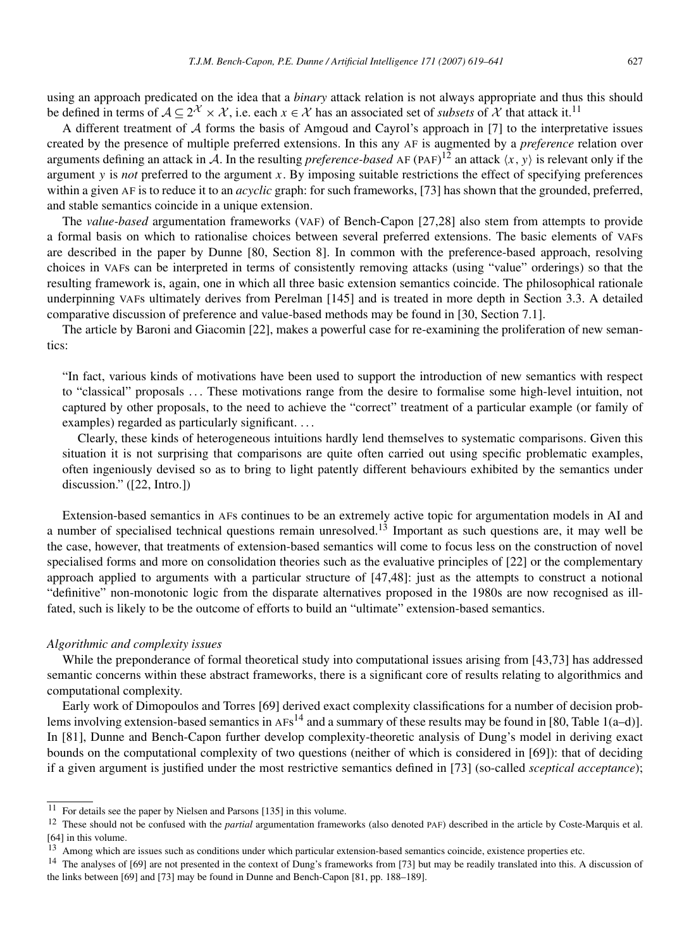using an approach predicated on the idea that a *binary* attack relation is not always appropriate and thus this should be defined in terms of  $A \subseteq 2^X \times \mathcal{X}$ , i.e. each  $x \in \mathcal{X}$  has an associated set of *subsets* of  $\mathcal{X}$  that attack it.<sup>11</sup>

A different treatment of A forms the basis of Amgoud and Cayrol's approach in [7] to the interpretative issues created by the presence of multiple preferred extensions. In this any AF is augmented by a *preference* relation over arguments defining an attack in A. In the resulting *preference-based* AF (PAF)<sup>12</sup> an attack  $\langle x, y \rangle$  is relevant only if the argument *y* is *not* preferred to the argument *x*. By imposing suitable restrictions the effect of specifying preferences within a given AF is to reduce it to an *acyclic* graph: for such frameworks, [73] has shown that the grounded, preferred, and stable semantics coincide in a unique extension.

The *value-based* argumentation frameworks (VAF) of Bench-Capon [27,28] also stem from attempts to provide a formal basis on which to rationalise choices between several preferred extensions. The basic elements of VAFs are described in the paper by Dunne [80, Section 8]. In common with the preference-based approach, resolving choices in VAFs can be interpreted in terms of consistently removing attacks (using "value" orderings) so that the resulting framework is, again, one in which all three basic extension semantics coincide. The philosophical rationale underpinning VAFs ultimately derives from Perelman [145] and is treated in more depth in Section 3.3. A detailed comparative discussion of preference and value-based methods may be found in [30, Section 7.1].

The article by Baroni and Giacomin [22], makes a powerful case for re-examining the proliferation of new semantics:

"In fact, various kinds of motivations have been used to support the introduction of new semantics with respect to "classical" proposals *...* These motivations range from the desire to formalise some high-level intuition, not captured by other proposals, to the need to achieve the "correct" treatment of a particular example (or family of examples) regarded as particularly significant. *...*

Clearly, these kinds of heterogeneous intuitions hardly lend themselves to systematic comparisons. Given this situation it is not surprising that comparisons are quite often carried out using specific problematic examples, often ingeniously devised so as to bring to light patently different behaviours exhibited by the semantics under discussion." ([22, Intro.])

Extension-based semantics in AFs continues to be an extremely active topic for argumentation models in AI and a number of specialised technical questions remain unresolved.<sup>13</sup> Important as such questions are, it may well be the case, however, that treatments of extension-based semantics will come to focus less on the construction of novel specialised forms and more on consolidation theories such as the evaluative principles of [22] or the complementary approach applied to arguments with a particular structure of [47,48]: just as the attempts to construct a notional "definitive" non-monotonic logic from the disparate alternatives proposed in the 1980s are now recognised as illfated, such is likely to be the outcome of efforts to build an "ultimate" extension-based semantics.

#### *Algorithmic and complexity issues*

While the preponderance of formal theoretical study into computational issues arising from [43,73] has addressed semantic concerns within these abstract frameworks, there is a significant core of results relating to algorithmics and computational complexity.

Early work of Dimopoulos and Torres [69] derived exact complexity classifications for a number of decision problems involving extension-based semantics in  $AFs^{14}$  and a summary of these results may be found in [80, Table 1(a–d)]. In [81], Dunne and Bench-Capon further develop complexity-theoretic analysis of Dung's model in deriving exact bounds on the computational complexity of two questions (neither of which is considered in [69]): that of deciding if a given argument is justified under the most restrictive semantics defined in [73] (so-called *sceptical acceptance*);

<sup>11</sup> For details see the paper by Nielsen and Parsons [135] in this volume.

<sup>12</sup> These should not be confused with the *partial* argumentation frameworks (also denoted PAF) described in the article by Coste-Marquis et al. [64] in this volume.

<sup>&</sup>lt;sup>13</sup> Among which are issues such as conditions under which particular extension-based semantics coincide, existence properties etc.

<sup>&</sup>lt;sup>14</sup> The analyses of [69] are not presented in the context of Dung's frameworks from [73] but may be readily translated into this. A discussion of the links between [69] and [73] may be found in Dunne and Bench-Capon [81, pp. 188–189].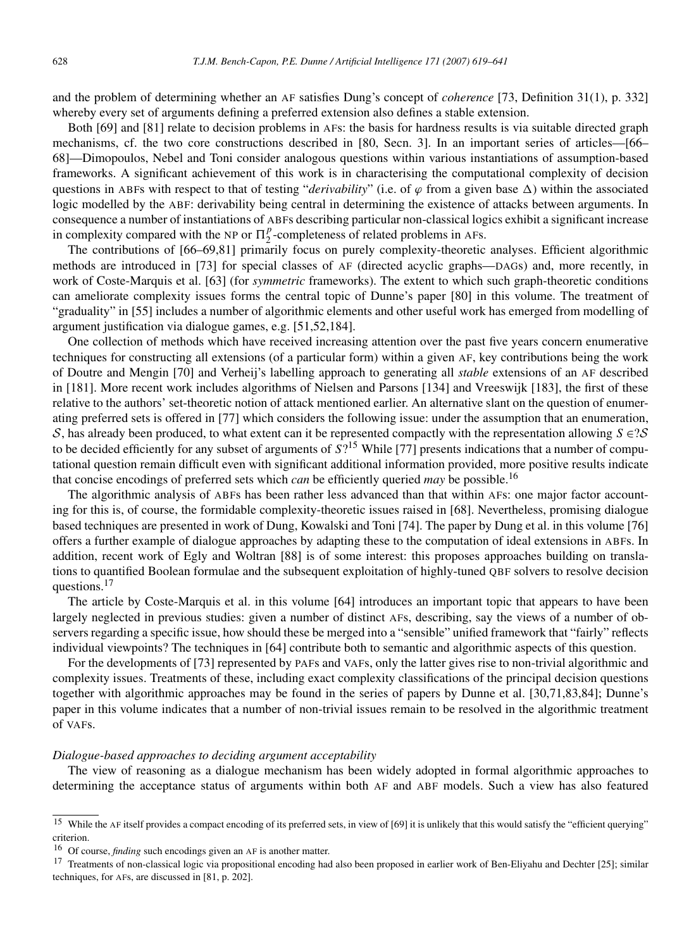and the problem of determining whether an AF satisfies Dung's concept of *coherence* [73, Definition 31(1), p. 332] whereby every set of arguments defining a preferred extension also defines a stable extension.

Both [69] and [81] relate to decision problems in AFs: the basis for hardness results is via suitable directed graph mechanisms, cf. the two core constructions described in [80, Secn. 3]. In an important series of articles—[66– 68]—Dimopoulos, Nebel and Toni consider analogous questions within various instantiations of assumption-based frameworks. A significant achievement of this work is in characterising the computational complexity of decision questions in ABFs with respect to that of testing "*derivability*" (i.e. of  $\varphi$  from a given base  $\Delta$ ) within the associated logic modelled by the ABF: derivability being central in determining the existence of attacks between arguments. In consequence a number of instantiations of ABFs describing particular non-classical logics exhibit a significant increase in complexity compared with the NP or  $\Pi_2^p$ -completeness of related problems in AFs.

The contributions of [66–69,81] primarily focus on purely complexity-theoretic analyses. Efficient algorithmic methods are introduced in [73] for special classes of AF (directed acyclic graphs—DAGs) and, more recently, in work of Coste-Marquis et al. [63] (for *symmetric* frameworks). The extent to which such graph-theoretic conditions can ameliorate complexity issues forms the central topic of Dunne's paper [80] in this volume. The treatment of "graduality" in [55] includes a number of algorithmic elements and other useful work has emerged from modelling of argument justification via dialogue games, e.g. [51,52,184].

One collection of methods which have received increasing attention over the past five years concern enumerative techniques for constructing all extensions (of a particular form) within a given AF, key contributions being the work of Doutre and Mengin [70] and Verheij's labelling approach to generating all *stable* extensions of an AF described in [181]. More recent work includes algorithms of Nielsen and Parsons [134] and Vreeswijk [183], the first of these relative to the authors' set-theoretic notion of attack mentioned earlier. An alternative slant on the question of enumerating preferred sets is offered in [77] which considers the following issue: under the assumption that an enumeration, S, has already been produced, to what extent can it be represented compactly with the representation allowing  $S \in \mathcal{S}$ to be decided efficiently for any subset of arguments of *S*?<sup>15</sup> While [77] presents indications that a number of computational question remain difficult even with significant additional information provided, more positive results indicate that concise encodings of preferred sets which *can* be efficiently queried *may* be possible.16

The algorithmic analysis of ABFs has been rather less advanced than that within AFs: one major factor accounting for this is, of course, the formidable complexity-theoretic issues raised in [68]. Nevertheless, promising dialogue based techniques are presented in work of Dung, Kowalski and Toni [74]. The paper by Dung et al. in this volume [76] offers a further example of dialogue approaches by adapting these to the computation of ideal extensions in ABFs. In addition, recent work of Egly and Woltran [88] is of some interest: this proposes approaches building on translations to quantified Boolean formulae and the subsequent exploitation of highly-tuned QBF solvers to resolve decision questions.<sup>17</sup>

The article by Coste-Marquis et al. in this volume [64] introduces an important topic that appears to have been largely neglected in previous studies: given a number of distinct AFs, describing, say the views of a number of observers regarding a specific issue, how should these be merged into a "sensible" unified framework that "fairly" reflects individual viewpoints? The techniques in [64] contribute both to semantic and algorithmic aspects of this question.

For the developments of [73] represented by PAFs and VAFs, only the latter gives rise to non-trivial algorithmic and complexity issues. Treatments of these, including exact complexity classifications of the principal decision questions together with algorithmic approaches may be found in the series of papers by Dunne et al. [30,71,83,84]; Dunne's paper in this volume indicates that a number of non-trivial issues remain to be resolved in the algorithmic treatment of VAFs.

#### *Dialogue-based approaches to deciding argument acceptability*

The view of reasoning as a dialogue mechanism has been widely adopted in formal algorithmic approaches to determining the acceptance status of arguments within both AF and ABF models. Such a view has also featured

<sup>&</sup>lt;sup>15</sup> While the AF itself provides a compact encoding of its preferred sets, in view of [69] it is unlikely that this would satisfy the "efficient querying" criterion.

<sup>16</sup> Of course, *finding* such encodings given an AF is another matter.

<sup>&</sup>lt;sup>17</sup> Treatments of non-classical logic via propositional encoding had also been proposed in earlier work of Ben-Eliyahu and Dechter [25]; similar techniques, for AFs, are discussed in [81, p. 202].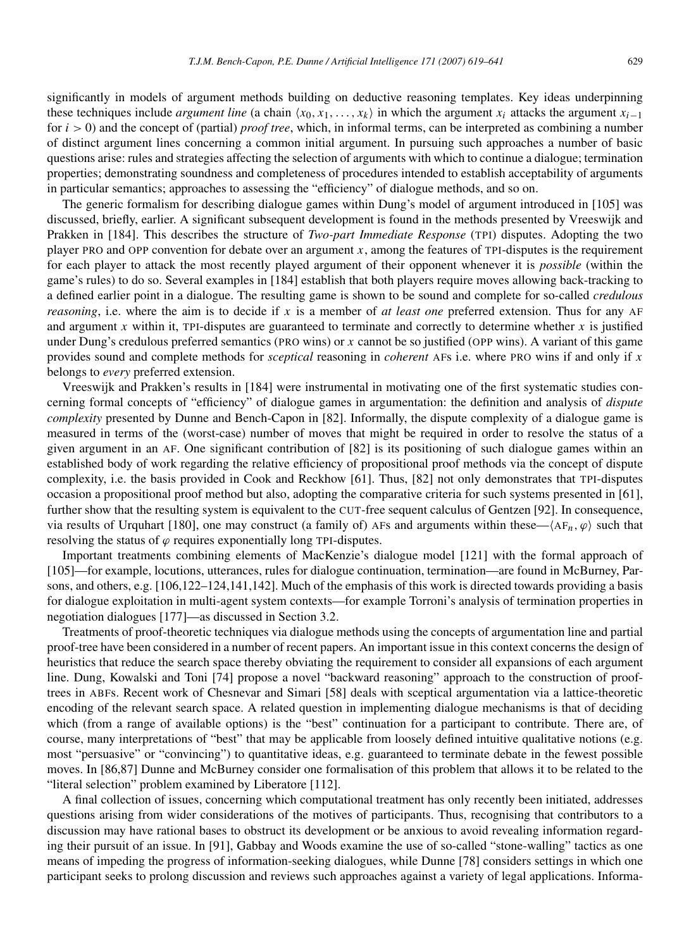significantly in models of argument methods building on deductive reasoning templates. Key ideas underpinning these techniques include *argument line* (a chain  $\langle x_0, x_1, \ldots, x_k \rangle$  in which the argument  $x_i$  attacks the argument  $x_{i-1}$ for *i >* 0) and the concept of (partial) *proof tree*, which, in informal terms, can be interpreted as combining a number of distinct argument lines concerning a common initial argument. In pursuing such approaches a number of basic questions arise: rules and strategies affecting the selection of arguments with which to continue a dialogue; termination properties; demonstrating soundness and completeness of procedures intended to establish acceptability of arguments in particular semantics; approaches to assessing the "efficiency" of dialogue methods, and so on.

The generic formalism for describing dialogue games within Dung's model of argument introduced in [105] was discussed, briefly, earlier. A significant subsequent development is found in the methods presented by Vreeswijk and Prakken in [184]. This describes the structure of *Two-part Immediate Response* (TPI) disputes. Adopting the two player PRO and OPP convention for debate over an argument *x*, among the features of TPI-disputes is the requirement for each player to attack the most recently played argument of their opponent whenever it is *possible* (within the game's rules) to do so. Several examples in [184] establish that both players require moves allowing back-tracking to a defined earlier point in a dialogue. The resulting game is shown to be sound and complete for so-called *credulous reasoning*, i.e. where the aim is to decide if *x* is a member of *at least one* preferred extension. Thus for any AF and argument *x* within it, TPI-disputes are guaranteed to terminate and correctly to determine whether *x* is justified under Dung's credulous preferred semantics (PRO wins) or *x* cannot be so justified (OPP wins). A variant of this game provides sound and complete methods for *sceptical* reasoning in *coherent* AFs i.e. where PRO wins if and only if *x* belongs to *every* preferred extension.

Vreeswijk and Prakken's results in [184] were instrumental in motivating one of the first systematic studies concerning formal concepts of "efficiency" of dialogue games in argumentation: the definition and analysis of *dispute complexity* presented by Dunne and Bench-Capon in [82]. Informally, the dispute complexity of a dialogue game is measured in terms of the (worst-case) number of moves that might be required in order to resolve the status of a given argument in an AF. One significant contribution of [82] is its positioning of such dialogue games within an established body of work regarding the relative efficiency of propositional proof methods via the concept of dispute complexity, i.e. the basis provided in Cook and Reckhow [61]. Thus, [82] not only demonstrates that TPI-disputes occasion a propositional proof method but also, adopting the comparative criteria for such systems presented in [61], further show that the resulting system is equivalent to the CUT-free sequent calculus of Gentzen [92]. In consequence, via results of Urquhart [180], one may construct (a family of) AFs and arguments within these— $\langle AF_n, \varphi \rangle$  such that resolving the status of  $\varphi$  requires exponentially long TPI-disputes.

Important treatments combining elements of MacKenzie's dialogue model [121] with the formal approach of [105]—for example, locutions, utterances, rules for dialogue continuation, termination—are found in McBurney, Parsons, and others, e.g. [106,122–124,141,142]. Much of the emphasis of this work is directed towards providing a basis for dialogue exploitation in multi-agent system contexts—for example Torroni's analysis of termination properties in negotiation dialogues [177]—as discussed in Section 3.2.

Treatments of proof-theoretic techniques via dialogue methods using the concepts of argumentation line and partial proof-tree have been considered in a number of recent papers. An important issue in this context concerns the design of heuristics that reduce the search space thereby obviating the requirement to consider all expansions of each argument line. Dung, Kowalski and Toni [74] propose a novel "backward reasoning" approach to the construction of prooftrees in ABFs. Recent work of Chesnevar and Simari [58] deals with sceptical argumentation via a lattice-theoretic encoding of the relevant search space. A related question in implementing dialogue mechanisms is that of deciding which (from a range of available options) is the "best" continuation for a participant to contribute. There are, of course, many interpretations of "best" that may be applicable from loosely defined intuitive qualitative notions (e.g. most "persuasive" or "convincing") to quantitative ideas, e.g. guaranteed to terminate debate in the fewest possible moves. In [86,87] Dunne and McBurney consider one formalisation of this problem that allows it to be related to the "literal selection" problem examined by Liberatore [112].

A final collection of issues, concerning which computational treatment has only recently been initiated, addresses questions arising from wider considerations of the motives of participants. Thus, recognising that contributors to a discussion may have rational bases to obstruct its development or be anxious to avoid revealing information regarding their pursuit of an issue. In [91], Gabbay and Woods examine the use of so-called "stone-walling" tactics as one means of impeding the progress of information-seeking dialogues, while Dunne [78] considers settings in which one participant seeks to prolong discussion and reviews such approaches against a variety of legal applications. Informa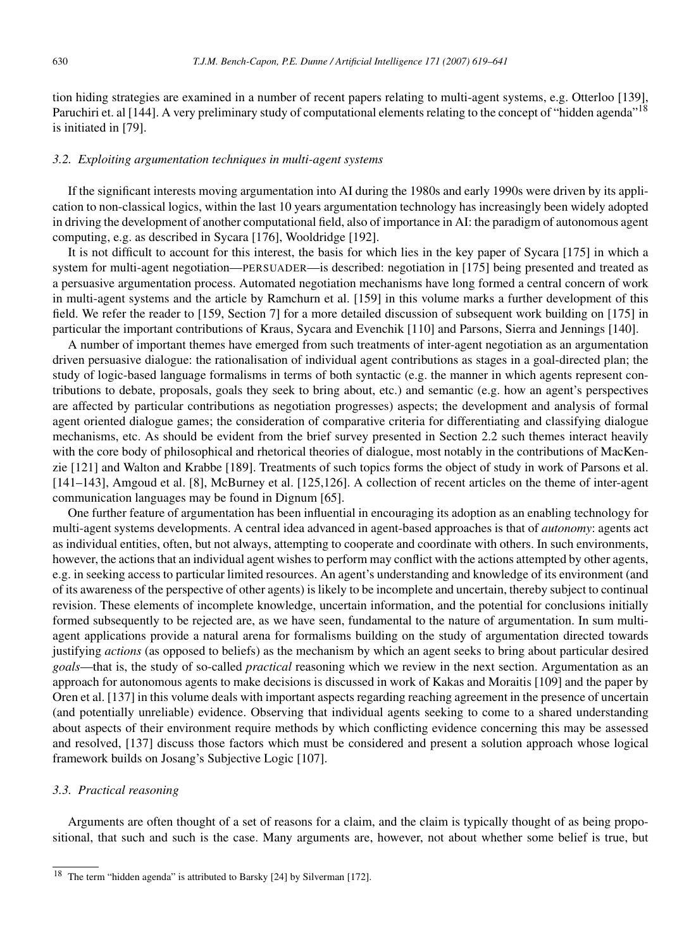tion hiding strategies are examined in a number of recent papers relating to multi-agent systems, e.g. Otterloo [139], Paruchiri et. al [144]. A very preliminary study of computational elements relating to the concept of "hidden agenda"<sup>18</sup> is initiated in [79].

## *3.2. Exploiting argumentation techniques in multi-agent systems*

If the significant interests moving argumentation into AI during the 1980s and early 1990s were driven by its application to non-classical logics, within the last 10 years argumentation technology has increasingly been widely adopted in driving the development of another computational field, also of importance in AI: the paradigm of autonomous agent computing, e.g. as described in Sycara [176], Wooldridge [192].

It is not difficult to account for this interest, the basis for which lies in the key paper of Sycara [175] in which a system for multi-agent negotiation—PERSUADER—is described: negotiation in [175] being presented and treated as a persuasive argumentation process. Automated negotiation mechanisms have long formed a central concern of work in multi-agent systems and the article by Ramchurn et al. [159] in this volume marks a further development of this field. We refer the reader to [159, Section 7] for a more detailed discussion of subsequent work building on [175] in particular the important contributions of Kraus, Sycara and Evenchik [110] and Parsons, Sierra and Jennings [140].

A number of important themes have emerged from such treatments of inter-agent negotiation as an argumentation driven persuasive dialogue: the rationalisation of individual agent contributions as stages in a goal-directed plan; the study of logic-based language formalisms in terms of both syntactic (e.g. the manner in which agents represent contributions to debate, proposals, goals they seek to bring about, etc.) and semantic (e.g. how an agent's perspectives are affected by particular contributions as negotiation progresses) aspects; the development and analysis of formal agent oriented dialogue games; the consideration of comparative criteria for differentiating and classifying dialogue mechanisms, etc. As should be evident from the brief survey presented in Section 2.2 such themes interact heavily with the core body of philosophical and rhetorical theories of dialogue, most notably in the contributions of MacKenzie [121] and Walton and Krabbe [189]. Treatments of such topics forms the object of study in work of Parsons et al. [141–143], Amgoud et al. [8], McBurney et al. [125,126]. A collection of recent articles on the theme of inter-agent communication languages may be found in Dignum [65].

One further feature of argumentation has been influential in encouraging its adoption as an enabling technology for multi-agent systems developments. A central idea advanced in agent-based approaches is that of *autonomy*: agents act as individual entities, often, but not always, attempting to cooperate and coordinate with others. In such environments, however, the actions that an individual agent wishes to perform may conflict with the actions attempted by other agents, e.g. in seeking access to particular limited resources. An agent's understanding and knowledge of its environment (and of its awareness of the perspective of other agents) is likely to be incomplete and uncertain, thereby subject to continual revision. These elements of incomplete knowledge, uncertain information, and the potential for conclusions initially formed subsequently to be rejected are, as we have seen, fundamental to the nature of argumentation. In sum multiagent applications provide a natural arena for formalisms building on the study of argumentation directed towards justifying *actions* (as opposed to beliefs) as the mechanism by which an agent seeks to bring about particular desired *goals*—that is, the study of so-called *practical* reasoning which we review in the next section. Argumentation as an approach for autonomous agents to make decisions is discussed in work of Kakas and Moraitis [109] and the paper by Oren et al. [137] in this volume deals with important aspects regarding reaching agreement in the presence of uncertain (and potentially unreliable) evidence. Observing that individual agents seeking to come to a shared understanding about aspects of their environment require methods by which conflicting evidence concerning this may be assessed and resolved, [137] discuss those factors which must be considered and present a solution approach whose logical framework builds on Josang's Subjective Logic [107].

# *3.3. Practical reasoning*

Arguments are often thought of a set of reasons for a claim, and the claim is typically thought of as being propositional, that such and such is the case. Many arguments are, however, not about whether some belief is true, but

<sup>18</sup> The term "hidden agenda" is attributed to Barsky [24] by Silverman [172].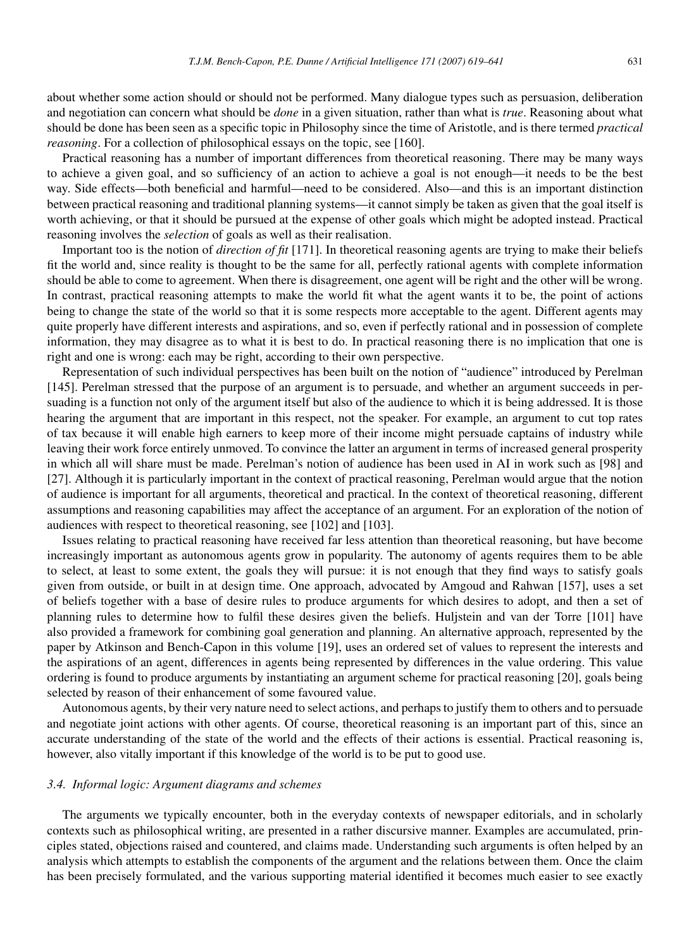about whether some action should or should not be performed. Many dialogue types such as persuasion, deliberation and negotiation can concern what should be *done* in a given situation, rather than what is *true*. Reasoning about what should be done has been seen as a specific topic in Philosophy since the time of Aristotle, and is there termed *practical reasoning*. For a collection of philosophical essays on the topic, see [160].

Practical reasoning has a number of important differences from theoretical reasoning. There may be many ways to achieve a given goal, and so sufficiency of an action to achieve a goal is not enough—it needs to be the best way. Side effects—both beneficial and harmful—need to be considered. Also—and this is an important distinction between practical reasoning and traditional planning systems—it cannot simply be taken as given that the goal itself is worth achieving, or that it should be pursued at the expense of other goals which might be adopted instead. Practical reasoning involves the *selection* of goals as well as their realisation.

Important too is the notion of *direction of fit* [171]. In theoretical reasoning agents are trying to make their beliefs fit the world and, since reality is thought to be the same for all, perfectly rational agents with complete information should be able to come to agreement. When there is disagreement, one agent will be right and the other will be wrong. In contrast, practical reasoning attempts to make the world fit what the agent wants it to be, the point of actions being to change the state of the world so that it is some respects more acceptable to the agent. Different agents may quite properly have different interests and aspirations, and so, even if perfectly rational and in possession of complete information, they may disagree as to what it is best to do. In practical reasoning there is no implication that one is right and one is wrong: each may be right, according to their own perspective.

Representation of such individual perspectives has been built on the notion of "audience" introduced by Perelman [145]. Perelman stressed that the purpose of an argument is to persuade, and whether an argument succeeds in persuading is a function not only of the argument itself but also of the audience to which it is being addressed. It is those hearing the argument that are important in this respect, not the speaker. For example, an argument to cut top rates of tax because it will enable high earners to keep more of their income might persuade captains of industry while leaving their work force entirely unmoved. To convince the latter an argument in terms of increased general prosperity in which all will share must be made. Perelman's notion of audience has been used in AI in work such as [98] and [27]. Although it is particularly important in the context of practical reasoning, Perelman would argue that the notion of audience is important for all arguments, theoretical and practical. In the context of theoretical reasoning, different assumptions and reasoning capabilities may affect the acceptance of an argument. For an exploration of the notion of audiences with respect to theoretical reasoning, see [102] and [103].

Issues relating to practical reasoning have received far less attention than theoretical reasoning, but have become increasingly important as autonomous agents grow in popularity. The autonomy of agents requires them to be able to select, at least to some extent, the goals they will pursue: it is not enough that they find ways to satisfy goals given from outside, or built in at design time. One approach, advocated by Amgoud and Rahwan [157], uses a set of beliefs together with a base of desire rules to produce arguments for which desires to adopt, and then a set of planning rules to determine how to fulfil these desires given the beliefs. Huljstein and van der Torre [101] have also provided a framework for combining goal generation and planning. An alternative approach, represented by the paper by Atkinson and Bench-Capon in this volume [19], uses an ordered set of values to represent the interests and the aspirations of an agent, differences in agents being represented by differences in the value ordering. This value ordering is found to produce arguments by instantiating an argument scheme for practical reasoning [20], goals being selected by reason of their enhancement of some favoured value.

Autonomous agents, by their very nature need to select actions, and perhaps to justify them to others and to persuade and negotiate joint actions with other agents. Of course, theoretical reasoning is an important part of this, since an accurate understanding of the state of the world and the effects of their actions is essential. Practical reasoning is, however, also vitally important if this knowledge of the world is to be put to good use.

#### *3.4. Informal logic: Argument diagrams and schemes*

The arguments we typically encounter, both in the everyday contexts of newspaper editorials, and in scholarly contexts such as philosophical writing, are presented in a rather discursive manner. Examples are accumulated, principles stated, objections raised and countered, and claims made. Understanding such arguments is often helped by an analysis which attempts to establish the components of the argument and the relations between them. Once the claim has been precisely formulated, and the various supporting material identified it becomes much easier to see exactly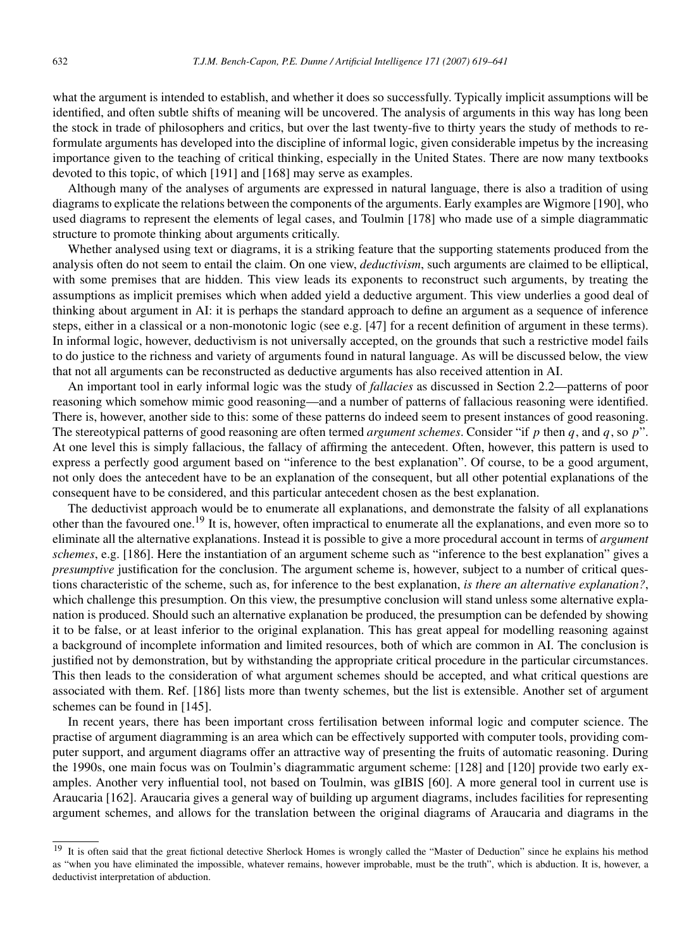what the argument is intended to establish, and whether it does so successfully. Typically implicit assumptions will be identified, and often subtle shifts of meaning will be uncovered. The analysis of arguments in this way has long been the stock in trade of philosophers and critics, but over the last twenty-five to thirty years the study of methods to reformulate arguments has developed into the discipline of informal logic, given considerable impetus by the increasing importance given to the teaching of critical thinking, especially in the United States. There are now many textbooks devoted to this topic, of which [191] and [168] may serve as examples.

Although many of the analyses of arguments are expressed in natural language, there is also a tradition of using diagrams to explicate the relations between the components of the arguments. Early examples are Wigmore [190], who used diagrams to represent the elements of legal cases, and Toulmin [178] who made use of a simple diagrammatic structure to promote thinking about arguments critically.

Whether analysed using text or diagrams, it is a striking feature that the supporting statements produced from the analysis often do not seem to entail the claim. On one view, *deductivism*, such arguments are claimed to be elliptical, with some premises that are hidden. This view leads its exponents to reconstruct such arguments, by treating the assumptions as implicit premises which when added yield a deductive argument. This view underlies a good deal of thinking about argument in AI: it is perhaps the standard approach to define an argument as a sequence of inference steps, either in a classical or a non-monotonic logic (see e.g. [47] for a recent definition of argument in these terms). In informal logic, however, deductivism is not universally accepted, on the grounds that such a restrictive model fails to do justice to the richness and variety of arguments found in natural language. As will be discussed below, the view that not all arguments can be reconstructed as deductive arguments has also received attention in AI.

An important tool in early informal logic was the study of *fallacies* as discussed in Section 2.2—patterns of poor reasoning which somehow mimic good reasoning—and a number of patterns of fallacious reasoning were identified. There is, however, another side to this: some of these patterns do indeed seem to present instances of good reasoning. The stereotypical patterns of good reasoning are often termed *argument schemes*. Consider "if *p* then *q*, and *q*, so *p*". At one level this is simply fallacious, the fallacy of affirming the antecedent. Often, however, this pattern is used to express a perfectly good argument based on "inference to the best explanation". Of course, to be a good argument, not only does the antecedent have to be an explanation of the consequent, but all other potential explanations of the consequent have to be considered, and this particular antecedent chosen as the best explanation.

The deductivist approach would be to enumerate all explanations, and demonstrate the falsity of all explanations other than the favoured one.<sup>19</sup> It is, however, often impractical to enumerate all the explanations, and even more so to eliminate all the alternative explanations. Instead it is possible to give a more procedural account in terms of *argument schemes*, e.g. [186]. Here the instantiation of an argument scheme such as "inference to the best explanation" gives a *presumptive* justification for the conclusion. The argument scheme is, however, subject to a number of critical questions characteristic of the scheme, such as, for inference to the best explanation, *is there an alternative explanation?*, which challenge this presumption. On this view, the presumptive conclusion will stand unless some alternative explanation is produced. Should such an alternative explanation be produced, the presumption can be defended by showing it to be false, or at least inferior to the original explanation. This has great appeal for modelling reasoning against a background of incomplete information and limited resources, both of which are common in AI. The conclusion is justified not by demonstration, but by withstanding the appropriate critical procedure in the particular circumstances. This then leads to the consideration of what argument schemes should be accepted, and what critical questions are associated with them. Ref. [186] lists more than twenty schemes, but the list is extensible. Another set of argument schemes can be found in [145].

In recent years, there has been important cross fertilisation between informal logic and computer science. The practise of argument diagramming is an area which can be effectively supported with computer tools, providing computer support, and argument diagrams offer an attractive way of presenting the fruits of automatic reasoning. During the 1990s, one main focus was on Toulmin's diagrammatic argument scheme: [128] and [120] provide two early examples. Another very influential tool, not based on Toulmin, was gIBIS [60]. A more general tool in current use is Araucaria [162]. Araucaria gives a general way of building up argument diagrams, includes facilities for representing argument schemes, and allows for the translation between the original diagrams of Araucaria and diagrams in the

<sup>&</sup>lt;sup>19</sup> It is often said that the great fictional detective Sherlock Homes is wrongly called the "Master of Deduction" since he explains his method as "when you have eliminated the impossible, whatever remains, however improbable, must be the truth", which is abduction. It is, however, a deductivist interpretation of abduction.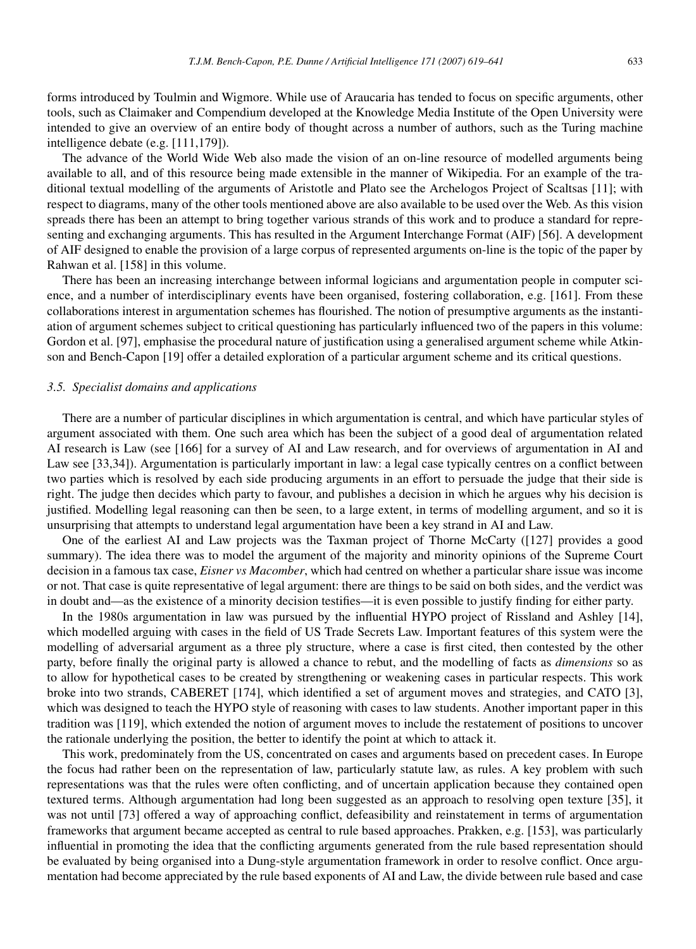forms introduced by Toulmin and Wigmore. While use of Araucaria has tended to focus on specific arguments, other tools, such as Claimaker and Compendium developed at the Knowledge Media Institute of the Open University were intended to give an overview of an entire body of thought across a number of authors, such as the Turing machine intelligence debate (e.g. [111,179]).

The advance of the World Wide Web also made the vision of an on-line resource of modelled arguments being available to all, and of this resource being made extensible in the manner of Wikipedia. For an example of the traditional textual modelling of the arguments of Aristotle and Plato see the Archelogos Project of Scaltsas [11]; with respect to diagrams, many of the other tools mentioned above are also available to be used over the Web. As this vision spreads there has been an attempt to bring together various strands of this work and to produce a standard for representing and exchanging arguments. This has resulted in the Argument Interchange Format (AIF) [56]. A development of AIF designed to enable the provision of a large corpus of represented arguments on-line is the topic of the paper by Rahwan et al. [158] in this volume.

There has been an increasing interchange between informal logicians and argumentation people in computer science, and a number of interdisciplinary events have been organised, fostering collaboration, e.g. [161]. From these collaborations interest in argumentation schemes has flourished. The notion of presumptive arguments as the instantiation of argument schemes subject to critical questioning has particularly influenced two of the papers in this volume: Gordon et al. [97], emphasise the procedural nature of justification using a generalised argument scheme while Atkinson and Bench-Capon [19] offer a detailed exploration of a particular argument scheme and its critical questions.

#### *3.5. Specialist domains and applications*

There are a number of particular disciplines in which argumentation is central, and which have particular styles of argument associated with them. One such area which has been the subject of a good deal of argumentation related AI research is Law (see [166] for a survey of AI and Law research, and for overviews of argumentation in AI and Law see [33,34]). Argumentation is particularly important in law: a legal case typically centres on a conflict between two parties which is resolved by each side producing arguments in an effort to persuade the judge that their side is right. The judge then decides which party to favour, and publishes a decision in which he argues why his decision is justified. Modelling legal reasoning can then be seen, to a large extent, in terms of modelling argument, and so it is unsurprising that attempts to understand legal argumentation have been a key strand in AI and Law.

One of the earliest AI and Law projects was the Taxman project of Thorne McCarty ([127] provides a good summary). The idea there was to model the argument of the majority and minority opinions of the Supreme Court decision in a famous tax case, *Eisner vs Macomber*, which had centred on whether a particular share issue was income or not. That case is quite representative of legal argument: there are things to be said on both sides, and the verdict was in doubt and—as the existence of a minority decision testifies—it is even possible to justify finding for either party.

In the 1980s argumentation in law was pursued by the influential HYPO project of Rissland and Ashley [14], which modelled arguing with cases in the field of US Trade Secrets Law. Important features of this system were the modelling of adversarial argument as a three ply structure, where a case is first cited, then contested by the other party, before finally the original party is allowed a chance to rebut, and the modelling of facts as *dimensions* so as to allow for hypothetical cases to be created by strengthening or weakening cases in particular respects. This work broke into two strands, CABERET [174], which identified a set of argument moves and strategies, and CATO [3], which was designed to teach the HYPO style of reasoning with cases to law students. Another important paper in this tradition was [119], which extended the notion of argument moves to include the restatement of positions to uncover the rationale underlying the position, the better to identify the point at which to attack it.

This work, predominately from the US, concentrated on cases and arguments based on precedent cases. In Europe the focus had rather been on the representation of law, particularly statute law, as rules. A key problem with such representations was that the rules were often conflicting, and of uncertain application because they contained open textured terms. Although argumentation had long been suggested as an approach to resolving open texture [35], it was not until [73] offered a way of approaching conflict, defeasibility and reinstatement in terms of argumentation frameworks that argument became accepted as central to rule based approaches. Prakken, e.g. [153], was particularly influential in promoting the idea that the conflicting arguments generated from the rule based representation should be evaluated by being organised into a Dung-style argumentation framework in order to resolve conflict. Once argumentation had become appreciated by the rule based exponents of AI and Law, the divide between rule based and case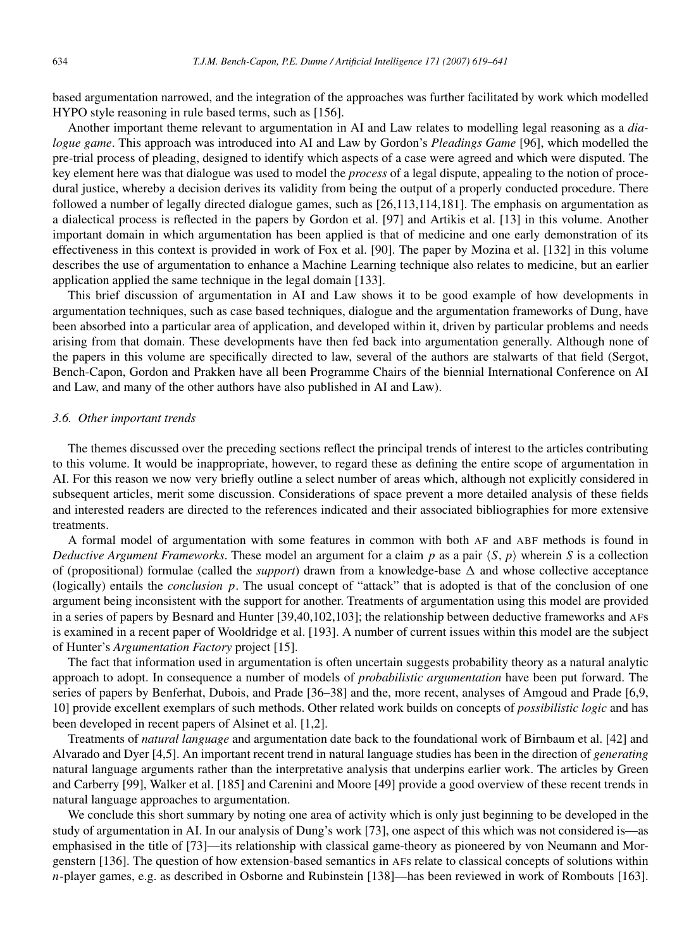based argumentation narrowed, and the integration of the approaches was further facilitated by work which modelled HYPO style reasoning in rule based terms, such as [156].

Another important theme relevant to argumentation in AI and Law relates to modelling legal reasoning as a *dialogue game*. This approach was introduced into AI and Law by Gordon's *Pleadings Game* [96], which modelled the pre-trial process of pleading, designed to identify which aspects of a case were agreed and which were disputed. The key element here was that dialogue was used to model the *process* of a legal dispute, appealing to the notion of procedural justice, whereby a decision derives its validity from being the output of a properly conducted procedure. There followed a number of legally directed dialogue games, such as [26,113,114,181]. The emphasis on argumentation as a dialectical process is reflected in the papers by Gordon et al. [97] and Artikis et al. [13] in this volume. Another important domain in which argumentation has been applied is that of medicine and one early demonstration of its effectiveness in this context is provided in work of Fox et al. [90]. The paper by Mozina et al. [132] in this volume describes the use of argumentation to enhance a Machine Learning technique also relates to medicine, but an earlier application applied the same technique in the legal domain [133].

This brief discussion of argumentation in AI and Law shows it to be good example of how developments in argumentation techniques, such as case based techniques, dialogue and the argumentation frameworks of Dung, have been absorbed into a particular area of application, and developed within it, driven by particular problems and needs arising from that domain. These developments have then fed back into argumentation generally. Although none of the papers in this volume are specifically directed to law, several of the authors are stalwarts of that field (Sergot, Bench-Capon, Gordon and Prakken have all been Programme Chairs of the biennial International Conference on AI and Law, and many of the other authors have also published in AI and Law).

## *3.6. Other important trends*

The themes discussed over the preceding sections reflect the principal trends of interest to the articles contributing to this volume. It would be inappropriate, however, to regard these as defining the entire scope of argumentation in AI. For this reason we now very briefly outline a select number of areas which, although not explicitly considered in subsequent articles, merit some discussion. Considerations of space prevent a more detailed analysis of these fields and interested readers are directed to the references indicated and their associated bibliographies for more extensive treatments.

A formal model of argumentation with some features in common with both AF and ABF methods is found in *Deductive Argument Frameworks*. These model an argument for a claim  $p$  as a pair  $\langle S, p \rangle$  wherein  $S$  is a collection of (propositional) formulae (called the *support*) drawn from a knowledge-base  $\Delta$  and whose collective acceptance (logically) entails the *conclusion p*. The usual concept of "attack" that is adopted is that of the conclusion of one argument being inconsistent with the support for another. Treatments of argumentation using this model are provided in a series of papers by Besnard and Hunter [39,40,102,103]; the relationship between deductive frameworks and AFs is examined in a recent paper of Wooldridge et al. [193]. A number of current issues within this model are the subject of Hunter's *Argumentation Factory* project [15].

The fact that information used in argumentation is often uncertain suggests probability theory as a natural analytic approach to adopt. In consequence a number of models of *probabilistic argumentation* have been put forward. The series of papers by Benferhat, Dubois, and Prade [36–38] and the, more recent, analyses of Amgoud and Prade [6,9, 10] provide excellent exemplars of such methods. Other related work builds on concepts of *possibilistic logic* and has been developed in recent papers of Alsinet et al. [1,2].

Treatments of *natural language* and argumentation date back to the foundational work of Birnbaum et al. [42] and Alvarado and Dyer [4,5]. An important recent trend in natural language studies has been in the direction of *generating* natural language arguments rather than the interpretative analysis that underpins earlier work. The articles by Green and Carberry [99], Walker et al. [185] and Carenini and Moore [49] provide a good overview of these recent trends in natural language approaches to argumentation.

We conclude this short summary by noting one area of activity which is only just beginning to be developed in the study of argumentation in AI. In our analysis of Dung's work [73], one aspect of this which was not considered is—as emphasised in the title of [73]—its relationship with classical game-theory as pioneered by von Neumann and Morgenstern [136]. The question of how extension-based semantics in AFs relate to classical concepts of solutions within *n*-player games, e.g. as described in Osborne and Rubinstein [138]—has been reviewed in work of Rombouts [163].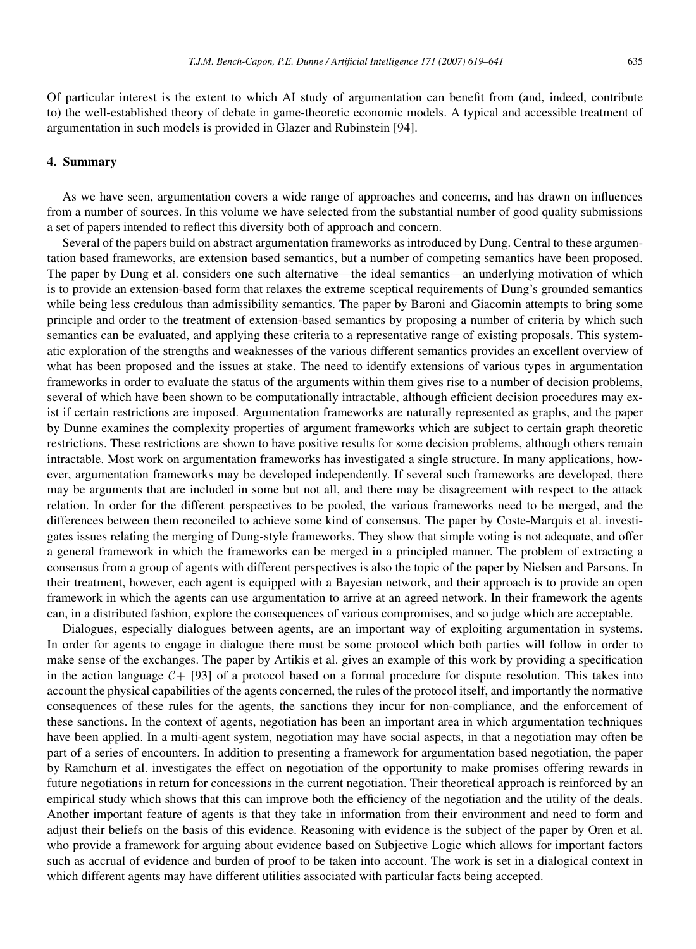Of particular interest is the extent to which AI study of argumentation can benefit from (and, indeed, contribute to) the well-established theory of debate in game-theoretic economic models. A typical and accessible treatment of argumentation in such models is provided in Glazer and Rubinstein [94].

## **4. Summary**

As we have seen, argumentation covers a wide range of approaches and concerns, and has drawn on influences from a number of sources. In this volume we have selected from the substantial number of good quality submissions a set of papers intended to reflect this diversity both of approach and concern.

Several of the papers build on abstract argumentation frameworks as introduced by Dung. Central to these argumentation based frameworks, are extension based semantics, but a number of competing semantics have been proposed. The paper by Dung et al. considers one such alternative—the ideal semantics—an underlying motivation of which is to provide an extension-based form that relaxes the extreme sceptical requirements of Dung's grounded semantics while being less credulous than admissibility semantics. The paper by Baroni and Giacomin attempts to bring some principle and order to the treatment of extension-based semantics by proposing a number of criteria by which such semantics can be evaluated, and applying these criteria to a representative range of existing proposals. This systematic exploration of the strengths and weaknesses of the various different semantics provides an excellent overview of what has been proposed and the issues at stake. The need to identify extensions of various types in argumentation frameworks in order to evaluate the status of the arguments within them gives rise to a number of decision problems, several of which have been shown to be computationally intractable, although efficient decision procedures may exist if certain restrictions are imposed. Argumentation frameworks are naturally represented as graphs, and the paper by Dunne examines the complexity properties of argument frameworks which are subject to certain graph theoretic restrictions. These restrictions are shown to have positive results for some decision problems, although others remain intractable. Most work on argumentation frameworks has investigated a single structure. In many applications, however, argumentation frameworks may be developed independently. If several such frameworks are developed, there may be arguments that are included in some but not all, and there may be disagreement with respect to the attack relation. In order for the different perspectives to be pooled, the various frameworks need to be merged, and the differences between them reconciled to achieve some kind of consensus. The paper by Coste-Marquis et al. investigates issues relating the merging of Dung-style frameworks. They show that simple voting is not adequate, and offer a general framework in which the frameworks can be merged in a principled manner. The problem of extracting a consensus from a group of agents with different perspectives is also the topic of the paper by Nielsen and Parsons. In their treatment, however, each agent is equipped with a Bayesian network, and their approach is to provide an open framework in which the agents can use argumentation to arrive at an agreed network. In their framework the agents can, in a distributed fashion, explore the consequences of various compromises, and so judge which are acceptable.

Dialogues, especially dialogues between agents, are an important way of exploiting argumentation in systems. In order for agents to engage in dialogue there must be some protocol which both parties will follow in order to make sense of the exchanges. The paper by Artikis et al. gives an example of this work by providing a specification in the action language  $C+$  [93] of a protocol based on a formal procedure for dispute resolution. This takes into account the physical capabilities of the agents concerned, the rules of the protocol itself, and importantly the normative consequences of these rules for the agents, the sanctions they incur for non-compliance, and the enforcement of these sanctions. In the context of agents, negotiation has been an important area in which argumentation techniques have been applied. In a multi-agent system, negotiation may have social aspects, in that a negotiation may often be part of a series of encounters. In addition to presenting a framework for argumentation based negotiation, the paper by Ramchurn et al. investigates the effect on negotiation of the opportunity to make promises offering rewards in future negotiations in return for concessions in the current negotiation. Their theoretical approach is reinforced by an empirical study which shows that this can improve both the efficiency of the negotiation and the utility of the deals. Another important feature of agents is that they take in information from their environment and need to form and adjust their beliefs on the basis of this evidence. Reasoning with evidence is the subject of the paper by Oren et al. who provide a framework for arguing about evidence based on Subjective Logic which allows for important factors such as accrual of evidence and burden of proof to be taken into account. The work is set in a dialogical context in which different agents may have different utilities associated with particular facts being accepted.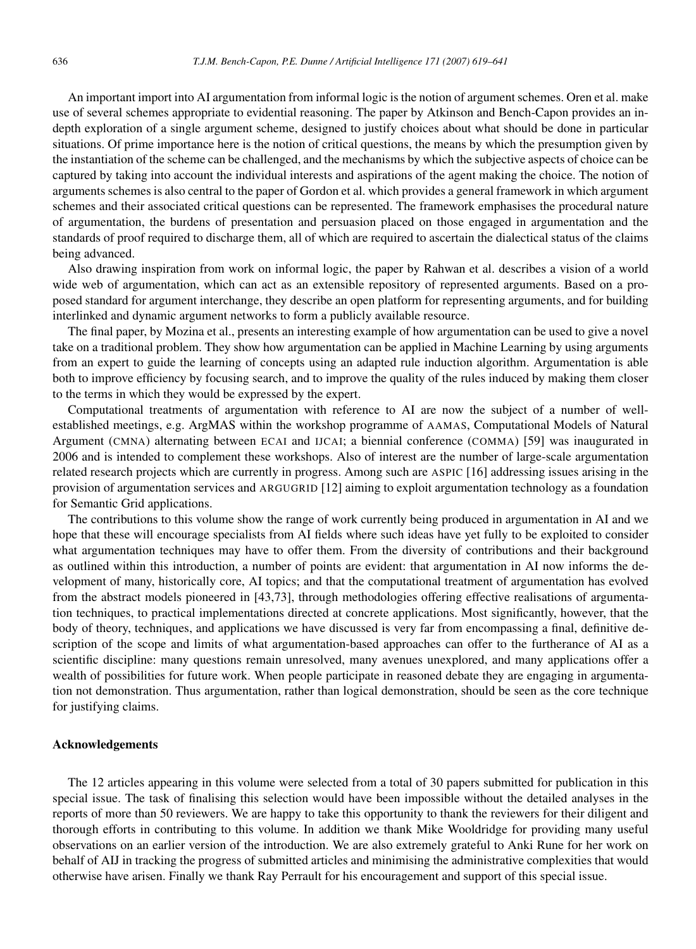An important import into AI argumentation from informal logic is the notion of argument schemes. Oren et al. make use of several schemes appropriate to evidential reasoning. The paper by Atkinson and Bench-Capon provides an indepth exploration of a single argument scheme, designed to justify choices about what should be done in particular situations. Of prime importance here is the notion of critical questions, the means by which the presumption given by the instantiation of the scheme can be challenged, and the mechanisms by which the subjective aspects of choice can be captured by taking into account the individual interests and aspirations of the agent making the choice. The notion of arguments schemes is also central to the paper of Gordon et al. which provides a general framework in which argument schemes and their associated critical questions can be represented. The framework emphasises the procedural nature of argumentation, the burdens of presentation and persuasion placed on those engaged in argumentation and the standards of proof required to discharge them, all of which are required to ascertain the dialectical status of the claims being advanced.

Also drawing inspiration from work on informal logic, the paper by Rahwan et al. describes a vision of a world wide web of argumentation, which can act as an extensible repository of represented arguments. Based on a proposed standard for argument interchange, they describe an open platform for representing arguments, and for building interlinked and dynamic argument networks to form a publicly available resource.

The final paper, by Mozina et al., presents an interesting example of how argumentation can be used to give a novel take on a traditional problem. They show how argumentation can be applied in Machine Learning by using arguments from an expert to guide the learning of concepts using an adapted rule induction algorithm. Argumentation is able both to improve efficiency by focusing search, and to improve the quality of the rules induced by making them closer to the terms in which they would be expressed by the expert.

Computational treatments of argumentation with reference to AI are now the subject of a number of wellestablished meetings, e.g. ArgMAS within the workshop programme of AAMAS, Computational Models of Natural Argument (CMNA) alternating between ECAI and IJCAI; a biennial conference (COMMA) [59] was inaugurated in 2006 and is intended to complement these workshops. Also of interest are the number of large-scale argumentation related research projects which are currently in progress. Among such are ASPIC [16] addressing issues arising in the provision of argumentation services and ARGUGRID [12] aiming to exploit argumentation technology as a foundation for Semantic Grid applications.

The contributions to this volume show the range of work currently being produced in argumentation in AI and we hope that these will encourage specialists from AI fields where such ideas have yet fully to be exploited to consider what argumentation techniques may have to offer them. From the diversity of contributions and their background as outlined within this introduction, a number of points are evident: that argumentation in AI now informs the development of many, historically core, AI topics; and that the computational treatment of argumentation has evolved from the abstract models pioneered in [43,73], through methodologies offering effective realisations of argumentation techniques, to practical implementations directed at concrete applications. Most significantly, however, that the body of theory, techniques, and applications we have discussed is very far from encompassing a final, definitive description of the scope and limits of what argumentation-based approaches can offer to the furtherance of AI as a scientific discipline: many questions remain unresolved, many avenues unexplored, and many applications offer a wealth of possibilities for future work. When people participate in reasoned debate they are engaging in argumentation not demonstration. Thus argumentation, rather than logical demonstration, should be seen as the core technique for justifying claims.

## **Acknowledgements**

The 12 articles appearing in this volume were selected from a total of 30 papers submitted for publication in this special issue. The task of finalising this selection would have been impossible without the detailed analyses in the reports of more than 50 reviewers. We are happy to take this opportunity to thank the reviewers for their diligent and thorough efforts in contributing to this volume. In addition we thank Mike Wooldridge for providing many useful observations on an earlier version of the introduction. We are also extremely grateful to Anki Rune for her work on behalf of AIJ in tracking the progress of submitted articles and minimising the administrative complexities that would otherwise have arisen. Finally we thank Ray Perrault for his encouragement and support of this special issue.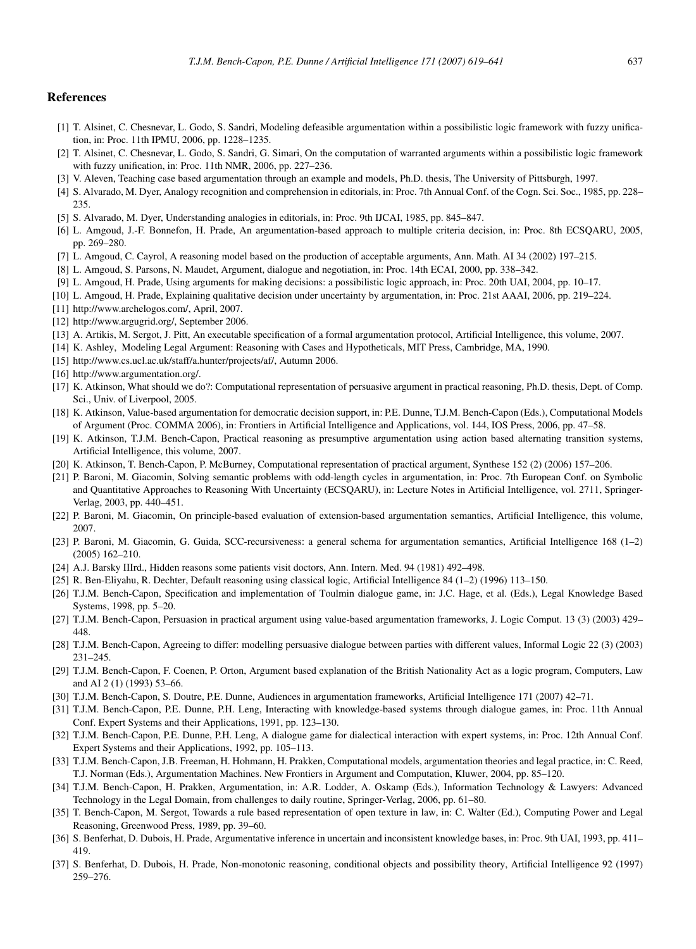### **References**

- [1] T. Alsinet, C. Chesnevar, L. Godo, S. Sandri, Modeling defeasible argumentation within a possibilistic logic framework with fuzzy unification, in: Proc. 11th IPMU, 2006, pp. 1228–1235.
- [2] T. Alsinet, C. Chesnevar, L. Godo, S. Sandri, G. Simari, On the computation of warranted arguments within a possibilistic logic framework with fuzzy unification, in: Proc. 11th NMR, 2006, pp. 227–236.
- [3] V. Aleven, Teaching case based argumentation through an example and models, Ph.D. thesis, The University of Pittsburgh, 1997.
- [4] S. Alvarado, M. Dyer, Analogy recognition and comprehension in editorials, in: Proc. 7th Annual Conf. of the Cogn. Sci. Soc., 1985, pp. 228– 235.
- [5] S. Alvarado, M. Dyer, Understanding analogies in editorials, in: Proc. 9th IJCAI, 1985, pp. 845–847.
- [6] L. Amgoud, J.-F. Bonnefon, H. Prade, An argumentation-based approach to multiple criteria decision, in: Proc. 8th ECSQARU, 2005, pp. 269–280.
- [7] L. Amgoud, C. Cayrol, A reasoning model based on the production of acceptable arguments, Ann. Math. AI 34 (2002) 197–215.
- [8] L. Amgoud, S. Parsons, N. Maudet, Argument, dialogue and negotiation, in: Proc. 14th ECAI, 2000, pp. 338–342.
- [9] L. Amgoud, H. Prade, Using arguments for making decisions: a possibilistic logic approach, in: Proc. 20th UAI, 2004, pp. 10–17.
- [10] L. Amgoud, H. Prade, Explaining qualitative decision under uncertainty by argumentation, in: Proc. 21st AAAI, 2006, pp. 219–224.
- [11] http://www.archelogos.com/, April, 2007.
- [12] http://www.argugrid.org/, September 2006.
- [13] A. Artikis, M. Sergot, J. Pitt, An executable specification of a formal argumentation protocol, Artificial Intelligence, this volume, 2007.
- [14] K. Ashley, Modeling Legal Argument: Reasoning with Cases and Hypotheticals, MIT Press, Cambridge, MA, 1990.
- [15] http://www.cs.ucl.ac.uk/staff/a.hunter/projects/af/, Autumn 2006.
- [16] http://www.argumentation.org/.
- [17] K. Atkinson, What should we do?: Computational representation of persuasive argument in practical reasoning, Ph.D. thesis, Dept. of Comp. Sci., Univ. of Liverpool, 2005.
- [18] K. Atkinson, Value-based argumentation for democratic decision support, in: P.E. Dunne, T.J.M. Bench-Capon (Eds.), Computational Models of Argument (Proc. COMMA 2006), in: Frontiers in Artificial Intelligence and Applications, vol. 144, IOS Press, 2006, pp. 47–58.
- [19] K. Atkinson, T.J.M. Bench-Capon, Practical reasoning as presumptive argumentation using action based alternating transition systems, Artificial Intelligence, this volume, 2007.
- [20] K. Atkinson, T. Bench-Capon, P. McBurney, Computational representation of practical argument, Synthese 152 (2) (2006) 157–206.
- [21] P. Baroni, M. Giacomin, Solving semantic problems with odd-length cycles in argumentation, in: Proc. 7th European Conf. on Symbolic and Quantitative Approaches to Reasoning With Uncertainty (ECSQARU), in: Lecture Notes in Artificial Intelligence, vol. 2711, Springer-Verlag, 2003, pp. 440–451.
- [22] P. Baroni, M. Giacomin, On principle-based evaluation of extension-based argumentation semantics, Artificial Intelligence, this volume, 2007.
- [23] P. Baroni, M. Giacomin, G. Guida, SCC-recursiveness: a general schema for argumentation semantics, Artificial Intelligence 168 (1–2) (2005) 162–210.
- [24] A.J. Barsky IIIrd., Hidden reasons some patients visit doctors, Ann. Intern. Med. 94 (1981) 492–498.
- [25] R. Ben-Eliyahu, R. Dechter, Default reasoning using classical logic, Artificial Intelligence 84 (1–2) (1996) 113–150.
- [26] T.J.M. Bench-Capon, Specification and implementation of Toulmin dialogue game, in: J.C. Hage, et al. (Eds.), Legal Knowledge Based Systems, 1998, pp. 5–20.
- [27] T.J.M. Bench-Capon, Persuasion in practical argument using value-based argumentation frameworks, J. Logic Comput. 13 (3) (2003) 429– 448.
- [28] T.J.M. Bench-Capon, Agreeing to differ: modelling persuasive dialogue between parties with different values, Informal Logic 22 (3) (2003) 231–245.
- [29] T.J.M. Bench-Capon, F. Coenen, P. Orton, Argument based explanation of the British Nationality Act as a logic program, Computers, Law and AI 2 (1) (1993) 53–66.
- [30] T.J.M. Bench-Capon, S. Doutre, P.E. Dunne, Audiences in argumentation frameworks, Artificial Intelligence 171 (2007) 42–71.
- [31] T.J.M. Bench-Capon, P.E. Dunne, P.H. Leng, Interacting with knowledge-based systems through dialogue games, in: Proc. 11th Annual Conf. Expert Systems and their Applications, 1991, pp. 123–130.
- [32] T.J.M. Bench-Capon, P.E. Dunne, P.H. Leng, A dialogue game for dialectical interaction with expert systems, in: Proc. 12th Annual Conf. Expert Systems and their Applications, 1992, pp. 105–113.
- [33] T.J.M. Bench-Capon, J.B. Freeman, H. Hohmann, H. Prakken, Computational models, argumentation theories and legal practice, in: C. Reed, T.J. Norman (Eds.), Argumentation Machines. New Frontiers in Argument and Computation, Kluwer, 2004, pp. 85–120.
- [34] T.J.M. Bench-Capon, H. Prakken, Argumentation, in: A.R. Lodder, A. Oskamp (Eds.), Information Technology & Lawyers: Advanced Technology in the Legal Domain, from challenges to daily routine, Springer-Verlag, 2006, pp. 61–80.
- [35] T. Bench-Capon, M. Sergot, Towards a rule based representation of open texture in law, in: C. Walter (Ed.), Computing Power and Legal Reasoning, Greenwood Press, 1989, pp. 39–60.
- [36] S. Benferhat, D. Dubois, H. Prade, Argumentative inference in uncertain and inconsistent knowledge bases, in: Proc. 9th UAI, 1993, pp. 411– 419.
- [37] S. Benferhat, D. Dubois, H. Prade, Non-monotonic reasoning, conditional objects and possibility theory, Artificial Intelligence 92 (1997) 259–276.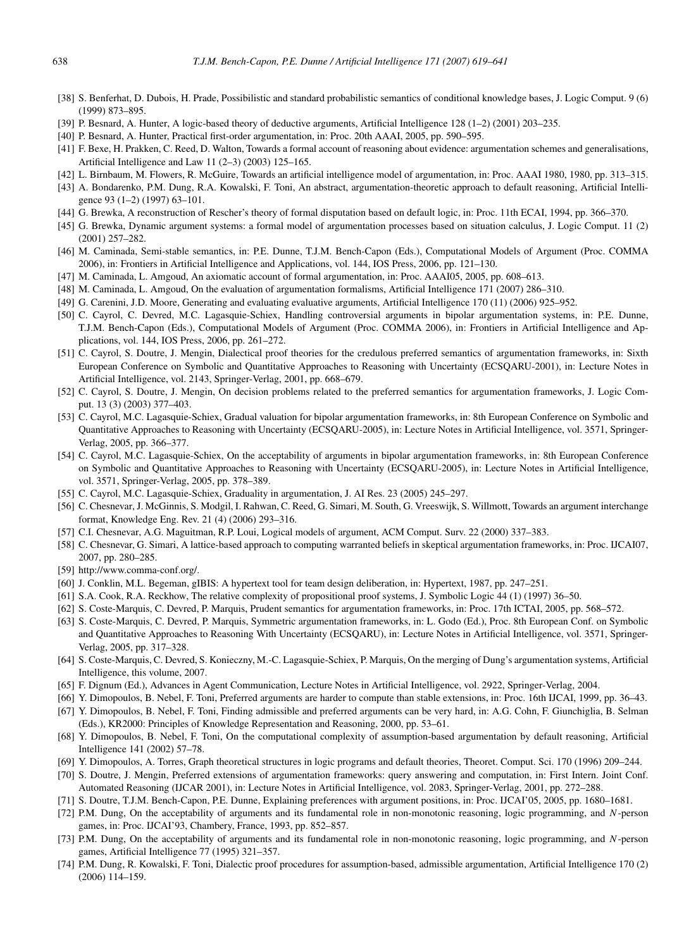- [38] S. Benferhat, D. Dubois, H. Prade, Possibilistic and standard probabilistic semantics of conditional knowledge bases, J. Logic Comput. 9 (6) (1999) 873–895.
- [39] P. Besnard, A. Hunter, A logic-based theory of deductive arguments, Artificial Intelligence 128 (1–2) (2001) 203–235.
- [40] P. Besnard, A. Hunter, Practical first-order argumentation, in: Proc. 20th AAAI, 2005, pp. 590–595.
- [41] F. Bexe, H. Prakken, C. Reed, D. Walton, Towards a formal account of reasoning about evidence: argumentation schemes and generalisations, Artificial Intelligence and Law 11 (2–3) (2003) 125–165.
- [42] L. Birnbaum, M. Flowers, R. McGuire, Towards an artificial intelligence model of argumentation, in: Proc. AAAI 1980, 1980, pp. 313–315.
- [43] A. Bondarenko, P.M. Dung, R.A. Kowalski, F. Toni, An abstract, argumentation-theoretic approach to default reasoning, Artificial Intelligence 93 (1–2) (1997) 63–101.
- [44] G. Brewka, A reconstruction of Rescher's theory of formal disputation based on default logic, in: Proc. 11th ECAI, 1994, pp. 366–370.
- [45] G. Brewka, Dynamic argument systems: a formal model of argumentation processes based on situation calculus, J. Logic Comput. 11 (2) (2001) 257–282.
- [46] M. Caminada, Semi-stable semantics, in: P.E. Dunne, T.J.M. Bench-Capon (Eds.), Computational Models of Argument (Proc. COMMA 2006), in: Frontiers in Artificial Intelligence and Applications, vol. 144, IOS Press, 2006, pp. 121–130.
- [47] M. Caminada, L. Amgoud, An axiomatic account of formal argumentation, in: Proc. AAAI05, 2005, pp. 608–613.
- [48] M. Caminada, L. Amgoud, On the evaluation of argumentation formalisms, Artificial Intelligence 171 (2007) 286–310.
- [49] G. Carenini, J.D. Moore, Generating and evaluating evaluative arguments, Artificial Intelligence 170 (11) (2006) 925–952.
- [50] C. Cayrol, C. Devred, M.C. Lagasquie-Schiex, Handling controversial arguments in bipolar argumentation systems, in: P.E. Dunne, T.J.M. Bench-Capon (Eds.), Computational Models of Argument (Proc. COMMA 2006), in: Frontiers in Artificial Intelligence and Applications, vol. 144, IOS Press, 2006, pp. 261–272.
- [51] C. Cayrol, S. Doutre, J. Mengin, Dialectical proof theories for the credulous preferred semantics of argumentation frameworks, in: Sixth European Conference on Symbolic and Quantitative Approaches to Reasoning with Uncertainty (ECSQARU-2001), in: Lecture Notes in Artificial Intelligence, vol. 2143, Springer-Verlag, 2001, pp. 668–679.
- [52] C. Cayrol, S. Doutre, J. Mengin, On decision problems related to the preferred semantics for argumentation frameworks, J. Logic Comput. 13 (3) (2003) 377–403.
- [53] C. Cayrol, M.C. Lagasquie-Schiex, Gradual valuation for bipolar argumentation frameworks, in: 8th European Conference on Symbolic and Quantitative Approaches to Reasoning with Uncertainty (ECSQARU-2005), in: Lecture Notes in Artificial Intelligence, vol. 3571, Springer-Verlag, 2005, pp. 366–377.
- [54] C. Cayrol, M.C. Lagasquie-Schiex, On the acceptability of arguments in bipolar argumentation frameworks, in: 8th European Conference on Symbolic and Quantitative Approaches to Reasoning with Uncertainty (ECSQARU-2005), in: Lecture Notes in Artificial Intelligence, vol. 3571, Springer-Verlag, 2005, pp. 378–389.
- [55] C. Cayrol, M.C. Lagasquie-Schiex, Graduality in argumentation, J. AI Res. 23 (2005) 245–297.
- [56] C. Chesnevar, J. McGinnis, S. Modgil, I. Rahwan, C. Reed, G. Simari, M. South, G. Vreeswijk, S. Willmott, Towards an argument interchange format, Knowledge Eng. Rev. 21 (4) (2006) 293–316.
- [57] C.I. Chesnevar, A.G. Maguitman, R.P. Loui, Logical models of argument, ACM Comput. Surv. 22 (2000) 337–383.
- [58] C. Chesnevar, G. Simari, A lattice-based approach to computing warranted beliefs in skeptical argumentation frameworks, in: Proc. IJCAI07, 2007, pp. 280–285.
- [59] http://www.comma-conf.org/.
- [60] J. Conklin, M.L. Begeman, gIBIS: A hypertext tool for team design deliberation, in: Hypertext, 1987, pp. 247–251.
- [61] S.A. Cook, R.A. Reckhow, The relative complexity of propositional proof systems, J. Symbolic Logic 44 (1) (1997) 36–50.
- [62] S. Coste-Marquis, C. Devred, P. Marquis, Prudent semantics for argumentation frameworks, in: Proc. 17th ICTAI, 2005, pp. 568–572.
- [63] S. Coste-Marquis, C. Devred, P. Marquis, Symmetric argumentation frameworks, in: L. Godo (Ed.), Proc. 8th European Conf. on Symbolic and Quantitative Approaches to Reasoning With Uncertainty (ECSQARU), in: Lecture Notes in Artificial Intelligence, vol. 3571, Springer-Verlag, 2005, pp. 317–328.
- [64] S. Coste-Marquis, C. Devred, S. Konieczny, M.-C. Lagasquie-Schiex, P. Marquis, On the merging of Dung's argumentation systems, Artificial Intelligence, this volume, 2007.
- [65] F. Dignum (Ed.), Advances in Agent Communication, Lecture Notes in Artificial Intelligence, vol. 2922, Springer-Verlag, 2004.
- [66] Y. Dimopoulos, B. Nebel, F. Toni, Preferred arguments are harder to compute than stable extensions, in: Proc. 16th IJCAI, 1999, pp. 36–43.
- [67] Y. Dimopoulos, B. Nebel, F. Toni, Finding admissible and preferred arguments can be very hard, in: A.G. Cohn, F. Giunchiglia, B. Selman (Eds.), KR2000: Principles of Knowledge Representation and Reasoning, 2000, pp. 53–61.
- [68] Y. Dimopoulos, B. Nebel, F. Toni, On the computational complexity of assumption-based argumentation by default reasoning, Artificial Intelligence 141 (2002) 57–78.
- [69] Y. Dimopoulos, A. Torres, Graph theoretical structures in logic programs and default theories, Theoret. Comput. Sci. 170 (1996) 209–244.
- [70] S. Doutre, J. Mengin, Preferred extensions of argumentation frameworks: query answering and computation, in: First Intern. Joint Conf. Automated Reasoning (IJCAR 2001), in: Lecture Notes in Artificial Intelligence, vol. 2083, Springer-Verlag, 2001, pp. 272–288.
- [71] S. Doutre, T.J.M. Bench-Capon, P.E. Dunne, Explaining preferences with argument positions, in: Proc. IJCAI'05, 2005, pp. 1680–1681.
- [72] P.M. Dung, On the acceptability of arguments and its fundamental role in non-monotonic reasoning, logic programming, and *N*-person games, in: Proc. IJCAI'93, Chambery, France, 1993, pp. 852–857.
- [73] P.M. Dung, On the acceptability of arguments and its fundamental role in non-monotonic reasoning, logic programming, and *N*-person games, Artificial Intelligence 77 (1995) 321–357.
- [74] P.M. Dung, R. Kowalski, F. Toni, Dialectic proof procedures for assumption-based, admissible argumentation, Artificial Intelligence 170 (2) (2006) 114–159.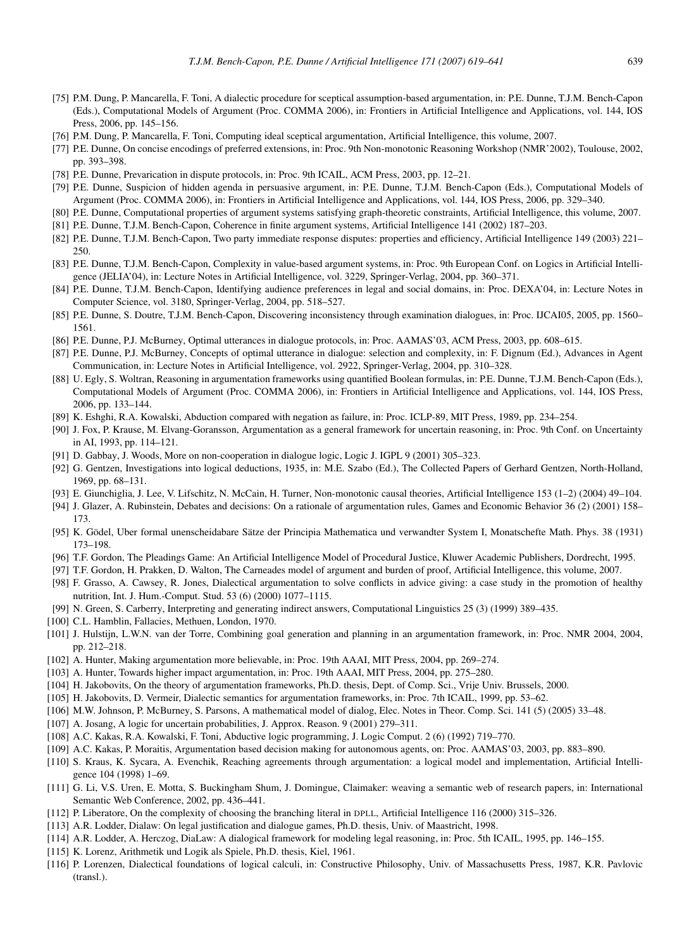- [75] P.M. Dung, P. Mancarella, F. Toni, A dialectic procedure for sceptical assumption-based argumentation, in: P.E. Dunne, T.J.M. Bench-Capon (Eds.), Computational Models of Argument (Proc. COMMA 2006), in: Frontiers in Artificial Intelligence and Applications, vol. 144, IOS Press, 2006, pp. 145–156.
- [76] P.M. Dung, P. Mancarella, F. Toni, Computing ideal sceptical argumentation, Artificial Intelligence, this volume, 2007.
- [77] P.E. Dunne, On concise encodings of preferred extensions, in: Proc. 9th Non-monotonic Reasoning Workshop (NMR'2002), Toulouse, 2002, pp. 393–398.
- [78] P.E. Dunne, Prevarication in dispute protocols, in: Proc. 9th ICAIL, ACM Press, 2003, pp. 12–21.
- [79] P.E. Dunne, Suspicion of hidden agenda in persuasive argument, in: P.E. Dunne, T.J.M. Bench-Capon (Eds.), Computational Models of Argument (Proc. COMMA 2006), in: Frontiers in Artificial Intelligence and Applications, vol. 144, IOS Press, 2006, pp. 329–340.
- [80] P.E. Dunne, Computational properties of argument systems satisfying graph-theoretic constraints, Artificial Intelligence, this volume, 2007.
- [81] P.E. Dunne, T.J.M. Bench-Capon, Coherence in finite argument systems, Artificial Intelligence 141 (2002) 187–203.
- [82] P.E. Dunne, T.J.M. Bench-Capon, Two party immediate response disputes: properties and efficiency, Artificial Intelligence 149 (2003) 221– 250.
- [83] P.E. Dunne, T.J.M. Bench-Capon, Complexity in value-based argument systems, in: Proc. 9th European Conf. on Logics in Artificial Intelligence (JELIA'04), in: Lecture Notes in Artificial Intelligence, vol. 3229, Springer-Verlag, 2004, pp. 360–371.
- [84] P.E. Dunne, T.J.M. Bench-Capon, Identifying audience preferences in legal and social domains, in: Proc. DEXA'04, in: Lecture Notes in Computer Science, vol. 3180, Springer-Verlag, 2004, pp. 518–527.
- [85] P.E. Dunne, S. Doutre, T.J.M. Bench-Capon, Discovering inconsistency through examination dialogues, in: Proc. IJCAI05, 2005, pp. 1560– 1561.
- [86] P.E. Dunne, P.J. McBurney, Optimal utterances in dialogue protocols, in: Proc. AAMAS'03, ACM Press, 2003, pp. 608–615.
- [87] P.E. Dunne, P.J. McBurney, Concepts of optimal utterance in dialogue: selection and complexity, in: F. Dignum (Ed.), Advances in Agent Communication, in: Lecture Notes in Artificial Intelligence, vol. 2922, Springer-Verlag, 2004, pp. 310–328.
- [88] U. Egly, S. Woltran, Reasoning in argumentation frameworks using quantified Boolean formulas, in: P.E. Dunne, T.J.M. Bench-Capon (Eds.), Computational Models of Argument (Proc. COMMA 2006), in: Frontiers in Artificial Intelligence and Applications, vol. 144, IOS Press, 2006, pp. 133–144.
- [89] K. Eshghi, R.A. Kowalski, Abduction compared with negation as failure, in: Proc. ICLP-89, MIT Press, 1989, pp. 234–254.
- [90] J. Fox, P. Krause, M. Elvang-Goransson, Argumentation as a general framework for uncertain reasoning, in: Proc. 9th Conf. on Uncertainty in AI, 1993, pp. 114–121.
- [91] D. Gabbay, J. Woods, More on non-cooperation in dialogue logic, Logic J. IGPL 9 (2001) 305–323.
- [92] G. Gentzen, Investigations into logical deductions, 1935, in: M.E. Szabo (Ed.), The Collected Papers of Gerhard Gentzen, North-Holland, 1969, pp. 68–131.
- [93] E. Giunchiglia, J. Lee, V. Lifschitz, N. McCain, H. Turner, Non-monotonic causal theories, Artificial Intelligence 153 (1–2) (2004) 49–104.
- [94] J. Glazer, A. Rubinstein, Debates and decisions: On a rationale of argumentation rules, Games and Economic Behavior 36 (2) (2001) 158– 173.
- [95] K. Gödel, Uber formal unenscheidabare Sätze der Principia Mathematica und verwandter System I, Monatschefte Math. Phys. 38 (1931) 173–198.
- [96] T.F. Gordon, The Pleadings Game: An Artificial Intelligence Model of Procedural Justice, Kluwer Academic Publishers, Dordrecht, 1995.
- [97] T.F. Gordon, H. Prakken, D. Walton, The Carneades model of argument and burden of proof, Artificial Intelligence, this volume, 2007.
- [98] F. Grasso, A. Cawsey, R. Jones, Dialectical argumentation to solve conflicts in advice giving: a case study in the promotion of healthy nutrition, Int. J. Hum.-Comput. Stud. 53 (6) (2000) 1077–1115.
- [99] N. Green, S. Carberry, Interpreting and generating indirect answers, Computational Linguistics 25 (3) (1999) 389–435.
- [100] C.L. Hamblin, Fallacies, Methuen, London, 1970.
- [101] J. Hulstijn, L.W.N. van der Torre, Combining goal generation and planning in an argumentation framework, in: Proc. NMR 2004, 2004, pp. 212–218.
- [102] A. Hunter, Making argumentation more believable, in: Proc. 19th AAAI, MIT Press, 2004, pp. 269–274.
- [103] A. Hunter, Towards higher impact argumentation, in: Proc. 19th AAAI, MIT Press, 2004, pp. 275–280.
- [104] H. Jakobovits, On the theory of argumentation frameworks, Ph.D. thesis, Dept. of Comp. Sci., Vrije Univ. Brussels, 2000.
- [105] H. Jakobovits, D. Vermeir, Dialectic semantics for argumentation frameworks, in: Proc. 7th ICAIL, 1999, pp. 53–62.
- [106] M.W. Johnson, P. McBurney, S. Parsons, A mathematical model of dialog, Elec. Notes in Theor. Comp. Sci. 141 (5) (2005) 33–48.
- [107] A. Josang, A logic for uncertain probabilities, J. Approx. Reason. 9 (2001) 279–311.
- [108] A.C. Kakas, R.A. Kowalski, F. Toni, Abductive logic programming, J. Logic Comput. 2 (6) (1992) 719–770.
- [109] A.C. Kakas, P. Moraitis, Argumentation based decision making for autonomous agents, on: Proc. AAMAS'03, 2003, pp. 883–890.
- [110] S. Kraus, K. Sycara, A. Evenchik, Reaching agreements through argumentation: a logical model and implementation, Artificial Intelligence 104 (1998) 1–69.
- [111] G. Li, V.S. Uren, E. Motta, S. Buckingham Shum, J. Domingue, Claimaker: weaving a semantic web of research papers, in: International Semantic Web Conference, 2002, pp. 436–441.
- [112] P. Liberatore, On the complexity of choosing the branching literal in DPLL, Artificial Intelligence 116 (2000) 315–326.
- [113] A.R. Lodder, Dialaw: On legal justification and dialogue games, Ph.D. thesis, Univ. of Maastricht, 1998.
- [114] A.R. Lodder, A. Herczog, DiaLaw: A dialogical framework for modeling legal reasoning, in: Proc. 5th ICAIL, 1995, pp. 146–155.
- [115] K. Lorenz, Arithmetik und Logik als Spiele, Ph.D. thesis, Kiel, 1961.
- [116] P. Lorenzen, Dialectical foundations of logical calculi, in: Constructive Philosophy, Univ. of Massachusetts Press, 1987, K.R. Pavlovic (transl.).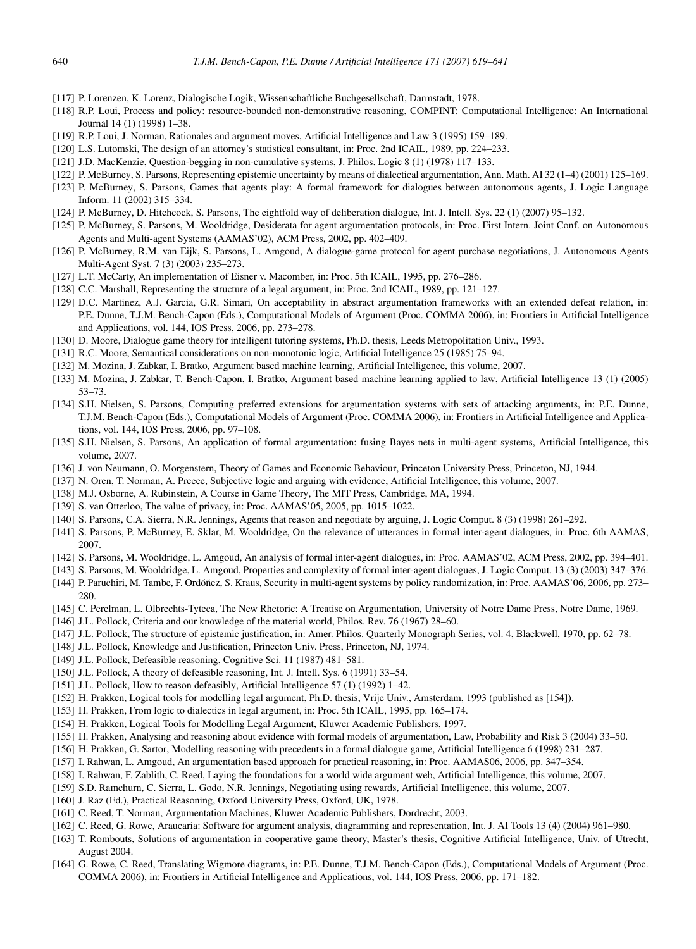- [117] P. Lorenzen, K. Lorenz, Dialogische Logik, Wissenschaftliche Buchgesellschaft, Darmstadt, 1978.
- [118] R.P. Loui, Process and policy: resource-bounded non-demonstrative reasoning, COMPINT: Computational Intelligence: An International Journal 14 (1) (1998) 1–38.
- [119] R.P. Loui, J. Norman, Rationales and argument moves, Artificial Intelligence and Law 3 (1995) 159–189.
- [120] L.S. Lutomski, The design of an attorney's statistical consultant, in: Proc. 2nd ICAIL, 1989, pp. 224–233.
- [121] J.D. MacKenzie, Question-begging in non-cumulative systems, J. Philos. Logic 8 (1) (1978) 117–133.
- [122] P. McBurney, S. Parsons, Representing epistemic uncertainty by means of dialectical argumentation, Ann. Math. AI 32 (1–4) (2001) 125–169.
- [123] P. McBurney, S. Parsons, Games that agents play: A formal framework for dialogues between autonomous agents, J. Logic Language Inform. 11 (2002) 315–334.
- [124] P. McBurney, D. Hitchcock, S. Parsons, The eightfold way of deliberation dialogue, Int. J. Intell. Sys. 22 (1) (2007) 95–132.
- [125] P. McBurney, S. Parsons, M. Wooldridge, Desiderata for agent argumentation protocols, in: Proc. First Intern. Joint Conf. on Autonomous Agents and Multi-agent Systems (AAMAS'02), ACM Press, 2002, pp. 402–409.
- [126] P. McBurney, R.M. van Eijk, S. Parsons, L. Amgoud, A dialogue-game protocol for agent purchase negotiations, J. Autonomous Agents Multi-Agent Syst. 7 (3) (2003) 235–273.
- [127] L.T. McCarty, An implementation of Eisner v. Macomber, in: Proc. 5th ICAIL, 1995, pp. 276–286.
- [128] C.C. Marshall, Representing the structure of a legal argument, in: Proc. 2nd ICAIL, 1989, pp. 121–127.
- [129] D.C. Martinez, A.J. Garcia, G.R. Simari, On acceptability in abstract argumentation frameworks with an extended defeat relation, in: P.E. Dunne, T.J.M. Bench-Capon (Eds.), Computational Models of Argument (Proc. COMMA 2006), in: Frontiers in Artificial Intelligence and Applications, vol. 144, IOS Press, 2006, pp. 273–278.
- [130] D. Moore, Dialogue game theory for intelligent tutoring systems, Ph.D. thesis, Leeds Metropolitation Univ., 1993.
- [131] R.C. Moore, Semantical considerations on non-monotonic logic, Artificial Intelligence 25 (1985) 75–94.
- [132] M. Mozina, J. Zabkar, I. Bratko, Argument based machine learning, Artificial Intelligence, this volume, 2007.
- [133] M. Mozina, J. Zabkar, T. Bench-Capon, I. Bratko, Argument based machine learning applied to law, Artificial Intelligence 13 (1) (2005) 53–73.
- [134] S.H. Nielsen, S. Parsons, Computing preferred extensions for argumentation systems with sets of attacking arguments, in: P.E. Dunne, T.J.M. Bench-Capon (Eds.), Computational Models of Argument (Proc. COMMA 2006), in: Frontiers in Artificial Intelligence and Applications, vol. 144, IOS Press, 2006, pp. 97–108.
- [135] S.H. Nielsen, S. Parsons, An application of formal argumentation: fusing Bayes nets in multi-agent systems, Artificial Intelligence, this volume, 2007.
- [136] J. von Neumann, O. Morgenstern, Theory of Games and Economic Behaviour, Princeton University Press, Princeton, NJ, 1944.
- [137] N. Oren, T. Norman, A. Preece, Subjective logic and arguing with evidence, Artificial Intelligence, this volume, 2007.
- [138] M.J. Osborne, A. Rubinstein, A Course in Game Theory, The MIT Press, Cambridge, MA, 1994.
- [139] S. van Otterloo, The value of privacy, in: Proc. AAMAS'05, 2005, pp. 1015–1022.
- [140] S. Parsons, C.A. Sierra, N.R. Jennings, Agents that reason and negotiate by arguing, J. Logic Comput. 8 (3) (1998) 261–292.
- [141] S. Parsons, P. McBurney, E. Sklar, M. Wooldridge, On the relevance of utterances in formal inter-agent dialogues, in: Proc. 6th AAMAS, 2007.
- [142] S. Parsons, M. Wooldridge, L. Amgoud, An analysis of formal inter-agent dialogues, in: Proc. AAMAS'02, ACM Press, 2002, pp. 394–401.

[143] S. Parsons, M. Wooldridge, L. Amgoud, Properties and complexity of formal inter-agent dialogues, J. Logic Comput. 13 (3) (2003) 347–376.

- [144] P. Paruchiri, M. Tambe, F. Ordóñez, S. Kraus, Security in multi-agent systems by policy randomization, in: Proc. AAMAS'06, 2006, pp. 273– 280.
- [145] C. Perelman, L. Olbrechts-Tyteca, The New Rhetoric: A Treatise on Argumentation, University of Notre Dame Press, Notre Dame, 1969.
- [146] J.L. Pollock, Criteria and our knowledge of the material world, Philos. Rev. 76 (1967) 28–60.
- [147] J.L. Pollock, The structure of epistemic justification, in: Amer. Philos. Quarterly Monograph Series, vol. 4, Blackwell, 1970, pp. 62–78.
- [148] J.L. Pollock, Knowledge and Justification, Princeton Univ. Press, Princeton, NJ, 1974.
- [149] J.L. Pollock, Defeasible reasoning, Cognitive Sci. 11 (1987) 481–581.
- [150] J.L. Pollock, A theory of defeasible reasoning, Int. J. Intell. Sys. 6 (1991) 33–54.
- [151] J.L. Pollock, How to reason defeasibly, Artificial Intelligence 57 (1) (1992) 1–42.
- [152] H. Prakken, Logical tools for modelling legal argument, Ph.D. thesis, Vrije Univ., Amsterdam, 1993 (published as [154]).
- [153] H. Prakken, From logic to dialectics in legal argument, in: Proc. 5th ICAIL, 1995, pp. 165–174.
- [154] H. Prakken, Logical Tools for Modelling Legal Argument, Kluwer Academic Publishers, 1997.
- [155] H. Prakken, Analysing and reasoning about evidence with formal models of argumentation, Law, Probability and Risk 3 (2004) 33–50.
- [156] H. Prakken, G. Sartor, Modelling reasoning with precedents in a formal dialogue game, Artificial Intelligence 6 (1998) 231–287.
- [157] I. Rahwan, L. Amgoud, An argumentation based approach for practical reasoning, in: Proc. AAMAS06, 2006, pp. 347–354.
- [158] I. Rahwan, F. Zablith, C. Reed, Laying the foundations for a world wide argument web, Artificial Intelligence, this volume, 2007.
- [159] S.D. Ramchurn, C. Sierra, L. Godo, N.R. Jennings, Negotiating using rewards, Artificial Intelligence, this volume, 2007.
- [160] J. Raz (Ed.), Practical Reasoning, Oxford University Press, Oxford, UK, 1978.
- [161] C. Reed, T. Norman, Argumentation Machines, Kluwer Academic Publishers, Dordrecht, 2003.
- [162] C. Reed, G. Rowe, Araucaria: Software for argument analysis, diagramming and representation, Int. J. AI Tools 13 (4) (2004) 961–980.
- [163] T. Rombouts, Solutions of argumentation in cooperative game theory, Master's thesis, Cognitive Artificial Intelligence, Univ. of Utrecht, August 2004.
- [164] G. Rowe, C. Reed, Translating Wigmore diagrams, in: P.E. Dunne, T.J.M. Bench-Capon (Eds.), Computational Models of Argument (Proc. COMMA 2006), in: Frontiers in Artificial Intelligence and Applications, vol. 144, IOS Press, 2006, pp. 171–182.